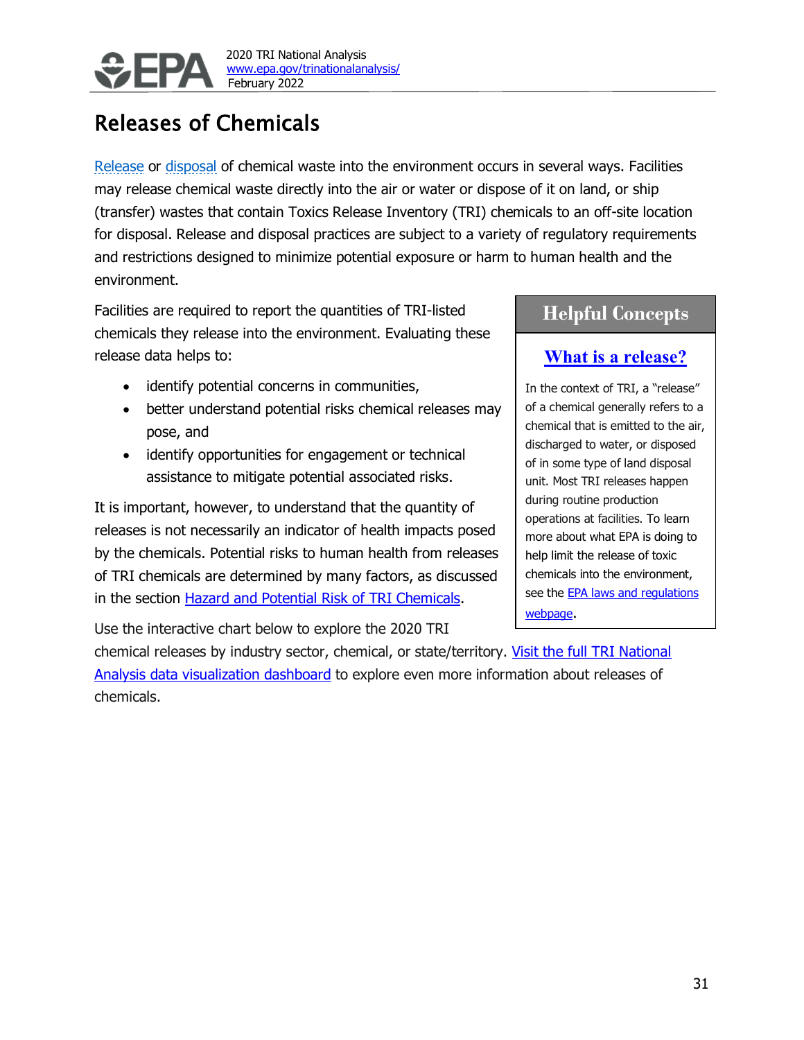

# Releases of Chemicals

Release or disposal of chemical waste into the environment occurs in several ways. Facilities may release chemical waste directly into the air or water or dispose of it on land, or ship (transfer) wastes that contain Toxics Release Inventory (TRI) chemicals to an off-site location for disposal. Release and disposal practices are subject to a variety of regulatory requirements and restrictions designed to minimize potential exposure or harm to human health and the environment.

Facilities are required to report the quantities of TRI-listed chemicals they release into the environment. Evaluating these release data helps to:

- identify potential concerns in communities,
- better understand potential risks chemical releases may pose, and
- identify opportunities for engagement or technical assistance to mitigate potential associated risks.

It is important, however, to understand that the quantity of releases is not necessarily an indicator of health impacts posed by the chemicals. Potential risks to human health from releases of TRI chemicals are determined by many factors, as discussed in the section [Hazard and Potential Risk of TRI Chemicals.](#page-6-0)

Use the interactive chart below to explore the 2020 TRI

chemical releases by industry sector, chemical, or state/territory. [Visit the full TRI National](https://awsedap.epa.gov/public/extensions/TRINA_dashboard_2020/TRINA_dashboard_2020.html)  [Analysis data visualization](https://awsedap.epa.gov/public/extensions/TRINA_dashboard_2020/TRINA_dashboard_2020.html) dashboard to explore even more information about releases of chemicals.

# **Helpful Concepts**

# **[What is a release?](https://www.epa.gov/toxics-release-inventory-tri-program/descriptions-tri-data-terms)**

In the context of TRI, a "release" of a chemical generally refers to a chemical that is emitted to the air, discharged to water, or disposed of in some type of land disposal unit. Most TRI releases happen during routine production operations at facilities. To learn more about what EPA is doing to help limit the release of toxic chemicals into the environment, see the **EPA laws and regulations** [webpage.](https://www.epa.gov/laws-regulations)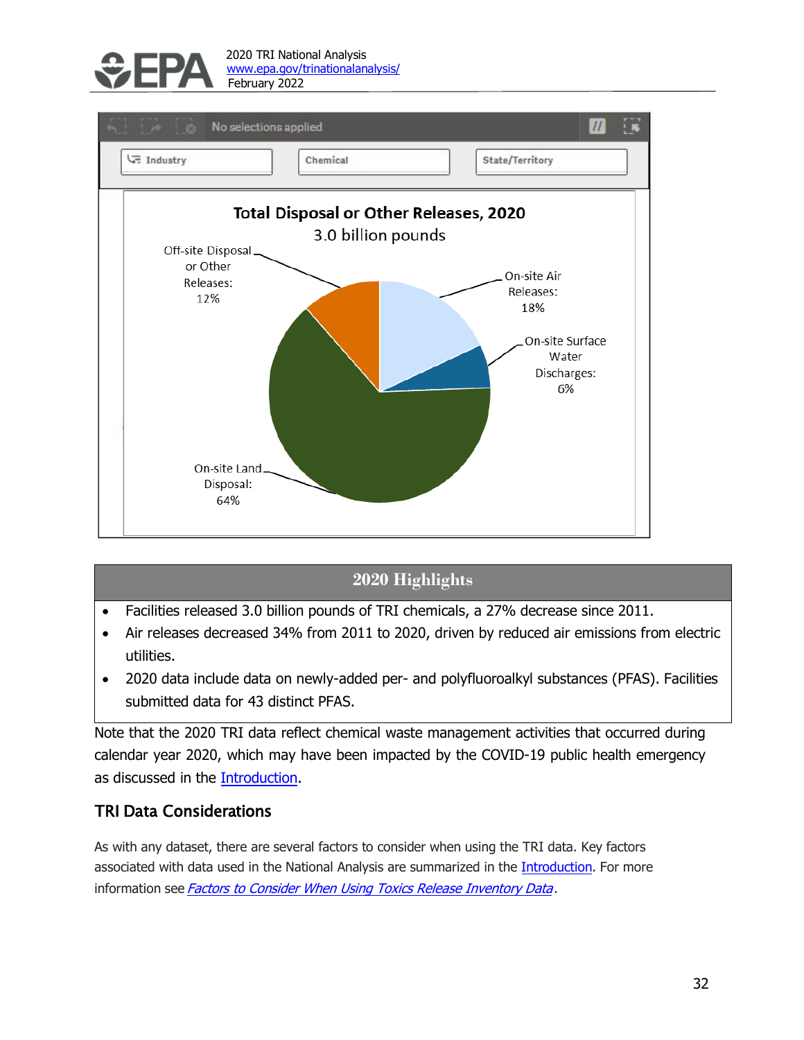



# **2020 Highlights**

- Facilities released 3.0 billion pounds of TRI chemicals, a 27% decrease since 2011.
- Air releases decreased 34% from 2011 to 2020, driven by reduced air emissions from electric utilities.
- 2020 data include data on newly-added per- and polyfluoroalkyl substances (PFAS). Facilities submitted data for 43 distinct PFAS.

Note that the 2020 TRI data reflect chemical waste management activities that occurred during calendar year 2020, which may have been impacted by the COVID-19 public health emergency as discussed in the Introduction.

## TRI Data Considerations

As with any dataset, there are several factors to consider when using the TRI data. Key factors associated with data used in the National Analysis are summarized in the Introduction. For more information see Factors to [Consider When](https://www.epa.gov/toxics-release-inventory-tri-program/factors-consider-when-using-toxics-release-inventory-data) Using Toxics Release Inventory Data.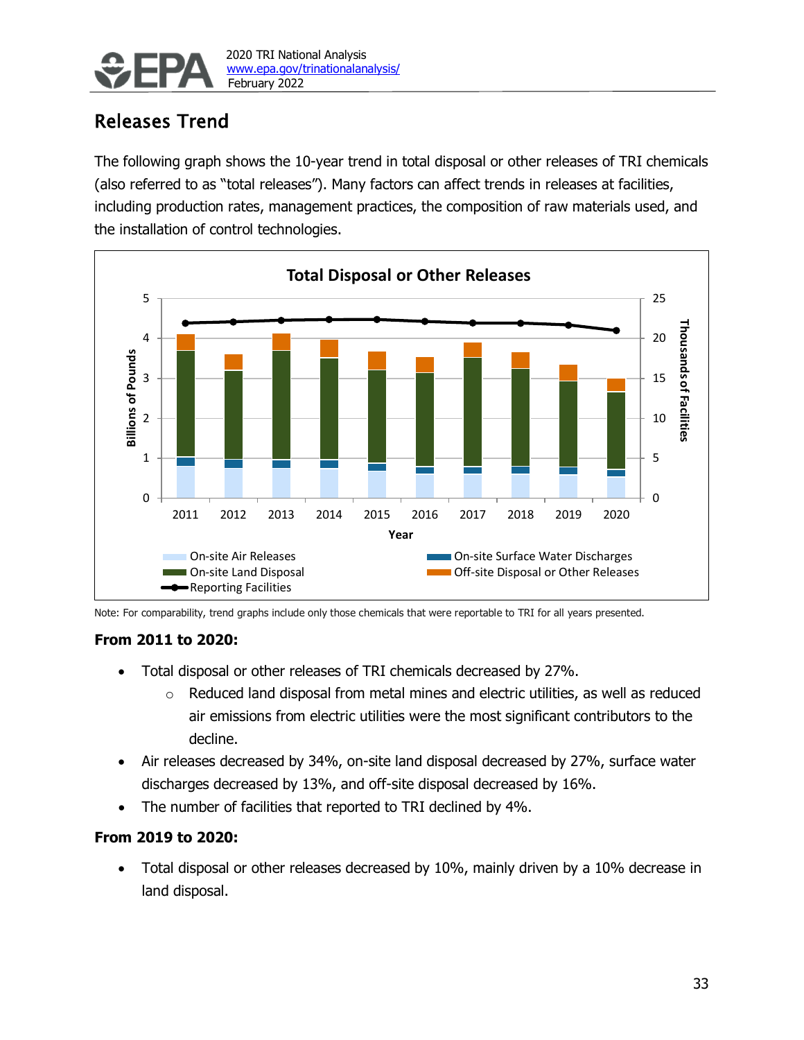

# Releases Trend

The following graph shows the 10-year trend in total disposal or other releases of TRI chemicals (also referred to as "total releases"). Many factors can affect trends in releases at facilities, including production rates, management practices, the composition of raw materials used, and the installation of control technologies.



Note: For comparability, trend graphs include only those chemicals that were reportable to TRI for all years presented.

### **From 2011 to 2020:**

- Total disposal or other releases of TRI chemicals decreased by 27%.
	- o Reduced land disposal from metal mines and electric utilities, as well as reduced air emissions from electric utilities were the most significant contributors to the decline.
- Air releases decreased by 34%, on-site land disposal decreased by 27%, surface water discharges decreased by 13%, and off-site disposal decreased by 16%.
- The number of facilities that reported to TRI declined by 4%.

## **From 2019 to 2020:**

• Total disposal or other releases decreased by 10%, mainly driven by a 10% decrease in land disposal.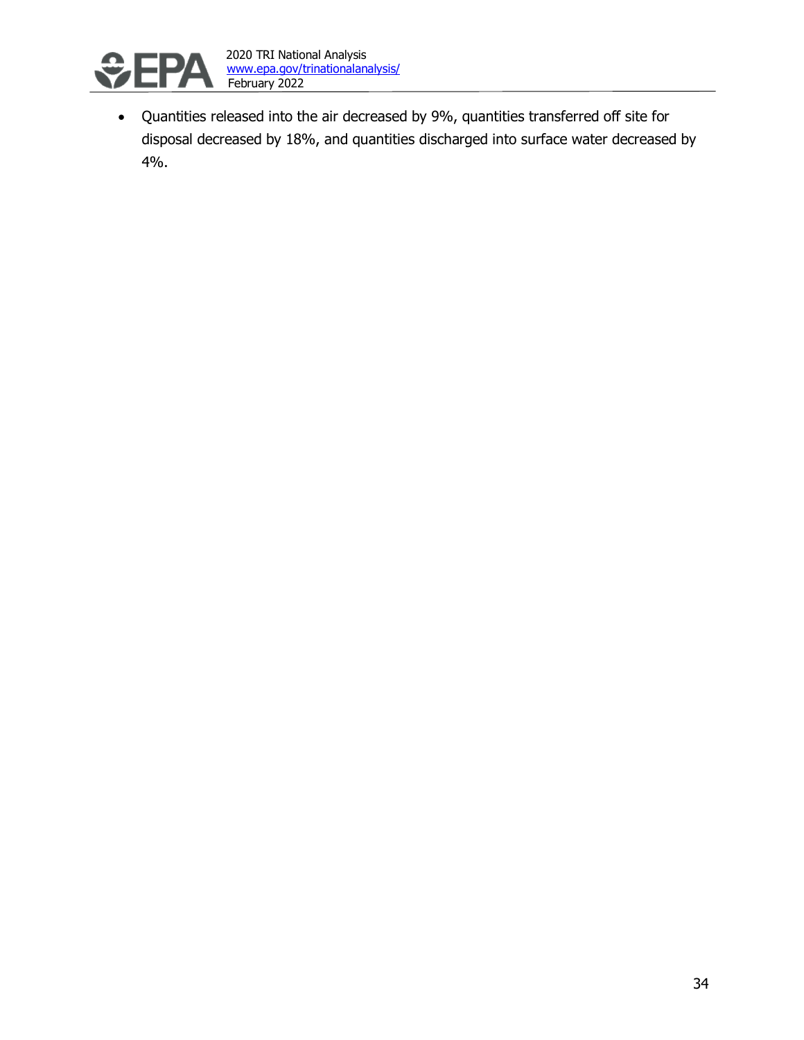

• Quantities released into the air decreased by 9%, quantities transferred off site for disposal decreased by 18%, and quantities discharged into surface water decreased by 4%.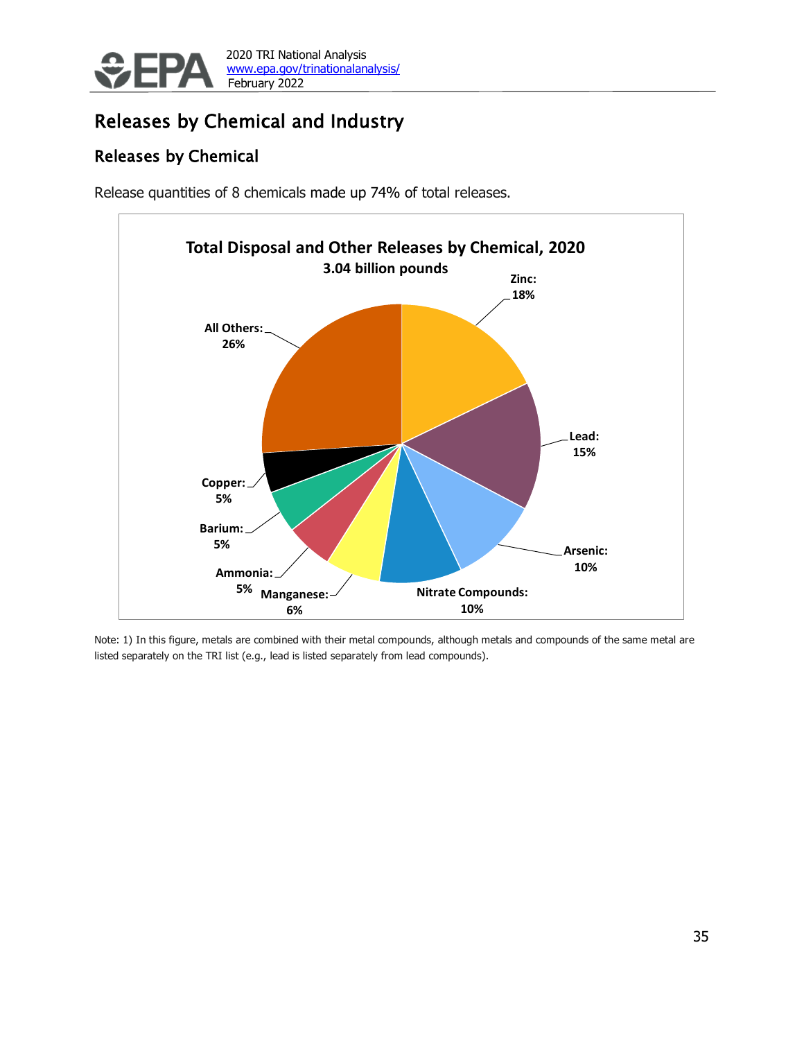

# Releases by Chemical and Industry

# Releases by Chemical

Release quantities of 8 chemicals made up 74% of total releases.



Note: 1) In this figure, metals are combined with their metal compounds, although metals and compounds of the same metal are listed separately on the TRI list (e.g., lead is listed separately from lead compounds).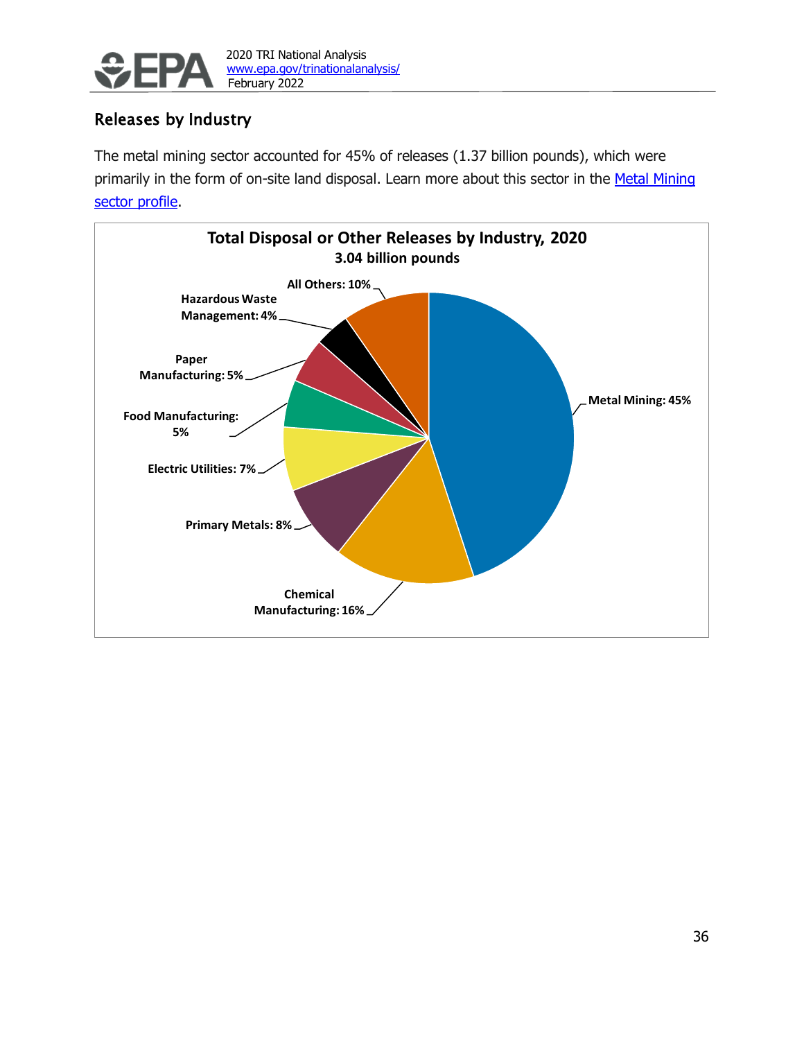

## Releases by Industry

The metal mining sector accounted for 45% of releases (1.37 billion pounds), which were primarily in the form of on-site land disposal. Learn more about this sector in the Metal Mining sector profile.

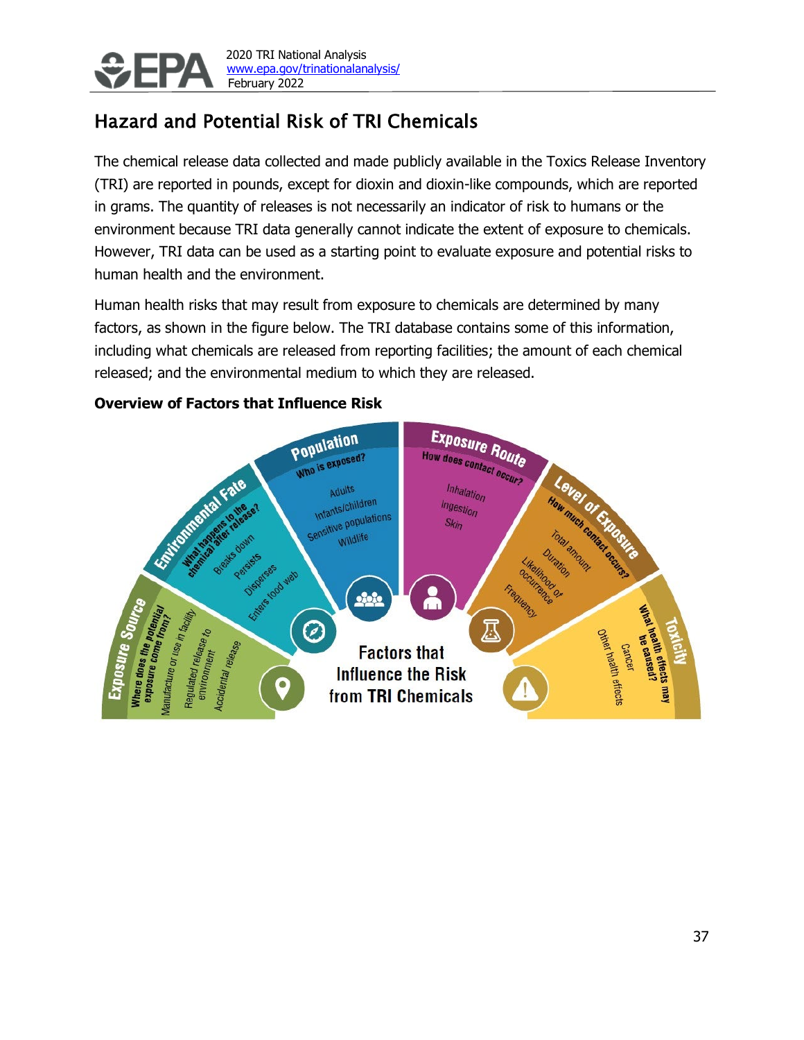

2020 TRI National Analysis [www.epa.gov/trinationalanalysis/](http://www.epa.gov/trinationalanalysis/) February 2022

# <span id="page-6-0"></span>Hazard and Potential Risk of TRI Chemicals

The chemical release data collected and made publicly available in the Toxics Release Inventory (TRI) are reported in pounds, except for dioxin and dioxin-like compounds, which are reported in grams. The quantity of releases is not necessarily an indicator of risk to humans or the environment because TRI data generally cannot indicate the extent of exposure to chemicals. However, TRI data can be used as a starting point to evaluate exposure and potential risks to human health and the environment.

Human health risks that may result from exposure to chemicals are determined by many factors, as shown in the figure below. The TRI database contains some of this information, including what chemicals are released from reporting facilities; the amount of each chemical released; and the environmental medium to which they are released.

## **Overview of Factors that Influence Risk**

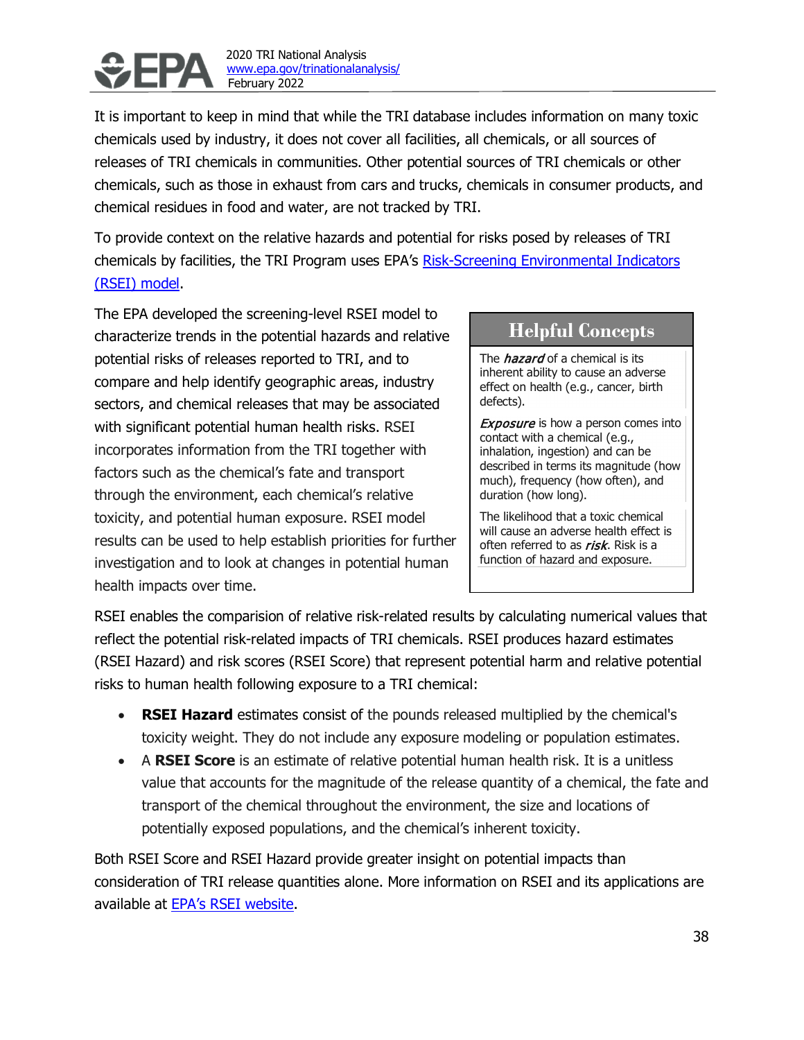

 2020 TRI National Analysis [www.epa.gov/trinationalanalysis/](http://www.epa.gov/trinationalanalysis/) February 2022

It is important to keep in mind that while the TRI database includes information on many toxic chemicals used by industry, it does not cover all facilities, all chemicals, or all sources of releases of TRI chemicals in communities. Other potential sources of TRI chemicals or other chemicals, such as those in exhaust from cars and trucks, chemicals in consumer products, and chemical residues in food and water, are not tracked by TRI.

To provide context on the relative hazards and potential for risks posed by releases of TRI chemicals by facilities, the TRI Program uses EPA's [Risk-Screening Environmental Indicators](https://www.epa.gov/rsei)  [\(RSEI\) model.](https://www.epa.gov/rsei)

The EPA developed the screening-level RSEI model to characterize trends in the potential hazards and relative potential risks of releases reported to TRI, and to compare and help identify geographic areas, industry sectors, and chemical releases that may be associated with significant potential human health risks. RSEI incorporates information from the TRI together with factors such as the chemical's fate and transport through the environment, each chemical's relative toxicity, and potential human exposure. RSEI model results can be used to help establish priorities for further investigation and to look at changes in potential human health impacts over time.

# **Helpful Concepts**

The *hazard* of a chemical is its inherent ability to cause an adverse effect on health (e.g., cancer, birth defects).

**Exposure** is how a person comes into contact with a chemical (e.g., inhalation, ingestion) and can be described in terms its magnitude (how much), frequency (how often), and duration (how long).

The likelihood that a toxic chemical will cause an adverse health effect is often referred to as *risk*. Risk is a function of hazard and exposure.

RSEI enables the comparision of relative risk-related results by calculating numerical values that reflect the potential risk-related impacts of TRI chemicals. RSEI produces hazard estimates (RSEI Hazard) and risk scores (RSEI Score) that represent potential harm and relative potential risks to human health following exposure to a TRI chemical:

- **RSEI Hazard** estimates consist of the pounds released multiplied by the chemical's toxicity weight. They do not include any exposure modeling or population estimates.
- A **RSEI Score** is an estimate of relative potential human health risk. It is a unitless value that accounts for the magnitude of the release quantity of a chemical, the fate and transport of the chemical throughout the environment, the size and locations of potentially exposed populations, and the chemical's inherent toxicity.

Both RSEI Score and RSEI Hazard provide greater insight on potential impacts than consideration of TRI release quantities alone. More information on RSEI and its applications are available at [EPA's RSEI website.](https://www.epa.gov/rsei)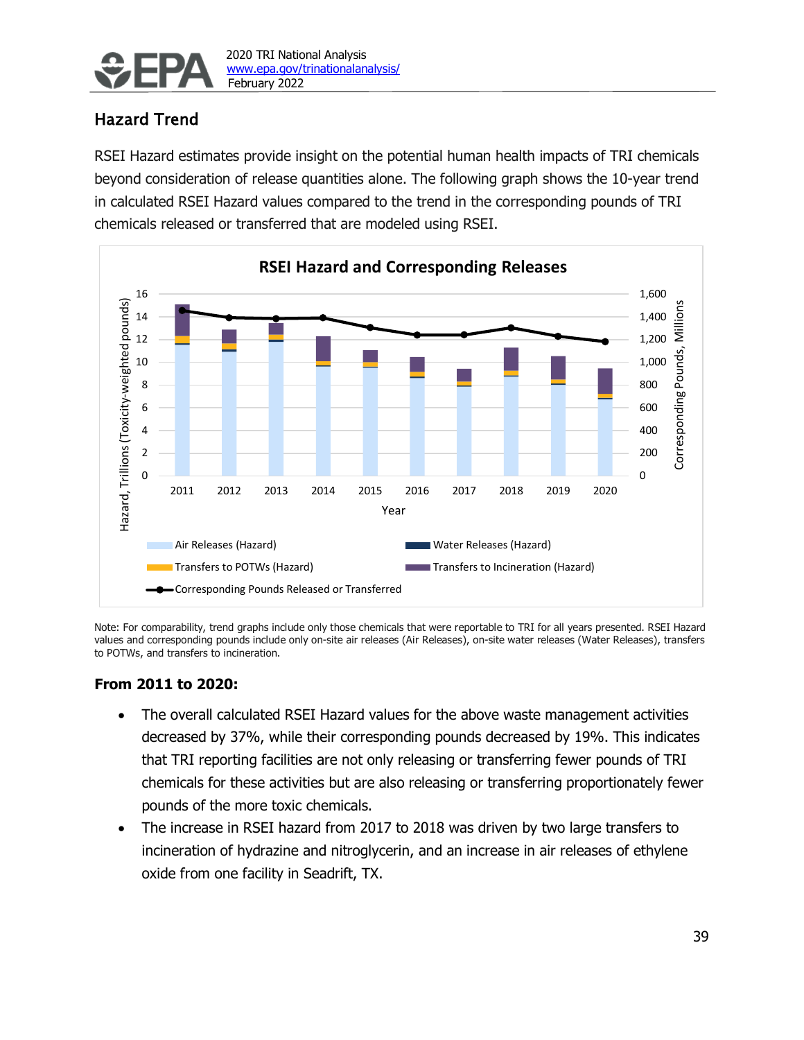

# Hazard Trend

RSEI Hazard estimates provide insight on the potential human health impacts of TRI chemicals beyond consideration of release quantities alone. The following graph shows the 10-year trend in calculated RSEI Hazard values compared to the trend in the corresponding pounds of TRI chemicals released or transferred that are modeled using RSEI.



Note: For comparability, trend graphs include only those chemicals that were reportable to TRI for all years presented. RSEI Hazard values and corresponding pounds include only on-site air releases (Air Releases), on-site water releases (Water Releases), transfers to POTWs, and transfers to incineration.

### **From 2011 to 2020:**

- The overall calculated RSEI Hazard values for the above waste management activities decreased by 37%, while their corresponding pounds decreased by 19%. This indicates that TRI reporting facilities are not only releasing or transferring fewer pounds of TRI chemicals for these activities but are also releasing or transferring proportionately fewer pounds of the more toxic chemicals.
- The increase in RSEI hazard from 2017 to 2018 was driven by two large transfers to incineration of hydrazine and nitroglycerin, and an increase in air releases of ethylene oxide from one facility in Seadrift, TX.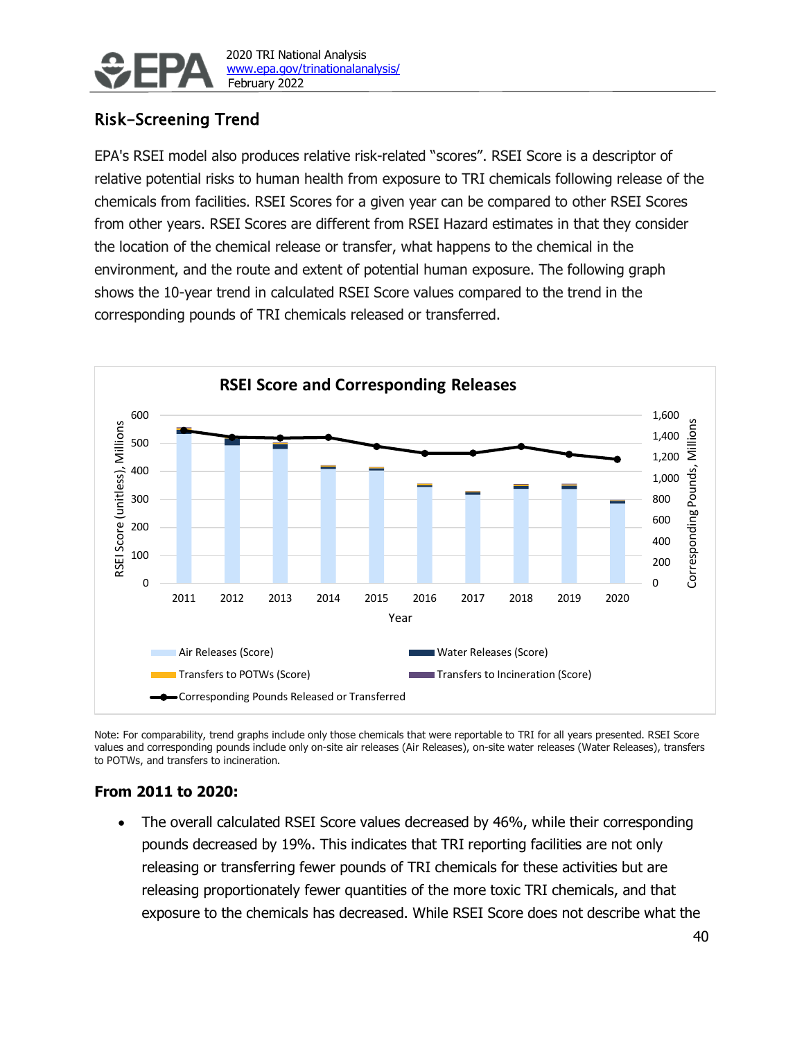

## Risk-Screening Trend

EPA's RSEI model also produces relative risk-related "scores". RSEI Score is a descriptor of relative potential risks to human health from exposure to TRI chemicals following release of the chemicals from facilities. RSEI Scores for a given year can be compared to other RSEI Scores from other years. RSEI Scores are different from RSEI Hazard estimates in that they consider the location of the chemical release or transfer, what happens to the chemical in the environment, and the route and extent of potential human exposure. The following graph shows the 10-year trend in calculated RSEI Score values compared to the trend in the corresponding pounds of TRI chemicals released or transferred.



Note: For comparability, trend graphs include only those chemicals that were reportable to TRI for all years presented. RSEI Score values and corresponding pounds include only on-site air releases (Air Releases), on-site water releases (Water Releases), transfers to POTWs, and transfers to incineration.

#### **From 2011 to 2020:**

The overall calculated RSEI Score values decreased by 46%, while their corresponding pounds decreased by 19%. This indicates that TRI reporting facilities are not only releasing or transferring fewer pounds of TRI chemicals for these activities but are releasing proportionately fewer quantities of the more toxic TRI chemicals, and that exposure to the chemicals has decreased. While RSEI Score does not describe what the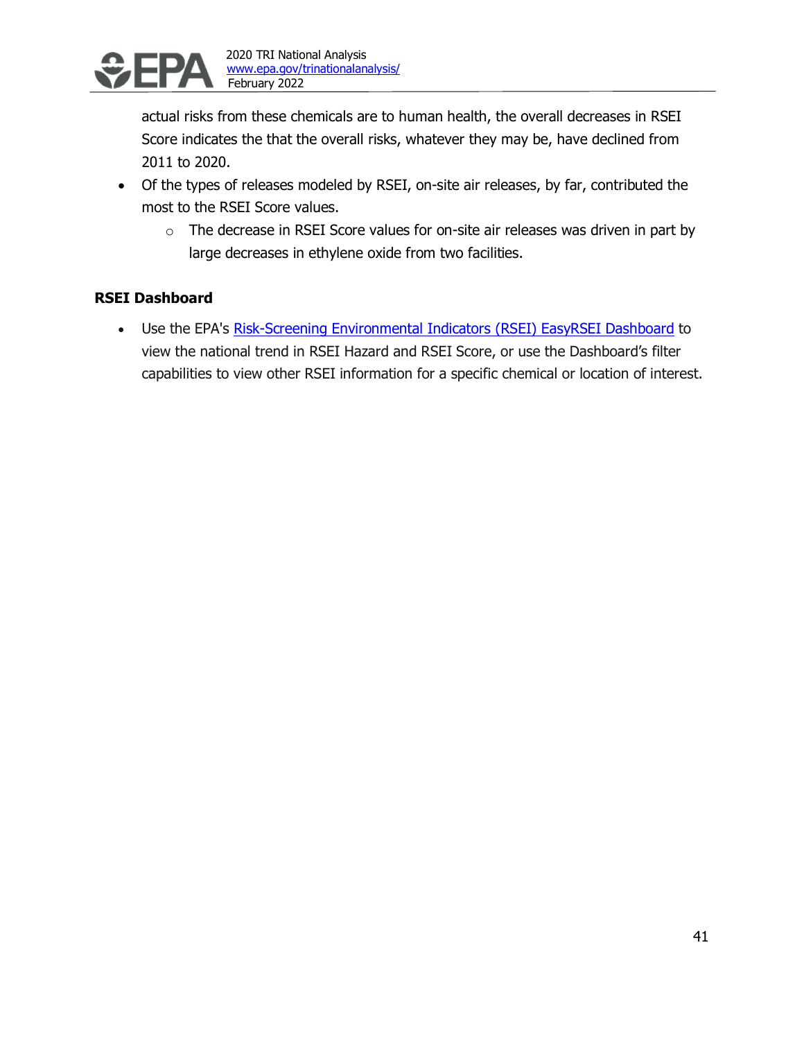

actual risks from these chemicals are to human health, the overall decreases in RSEI Score indicates the that the overall risks, whatever they may be, have declined from 2011 to 2020.

- Of the types of releases modeled by RSEI, on-site air releases, by far, contributed the most to the RSEI Score values.
	- $\circ$  The decrease in RSEI Score values for on-site air releases was driven in part by large decreases in ethylene oxide from two facilities.

## **RSEI Dashboard**

• Use the EPA's [Risk-Screening Environmental Indicators \(RSEI\) EasyRSEI Dashboard](https://edap.epa.gov/public/extensions/EasyRSEI/EasyRSEI.html) to view the national trend in RSEI Hazard and RSEI Score, or use the Dashboard's filter capabilities to view other RSEI information for a specific chemical or location of interest.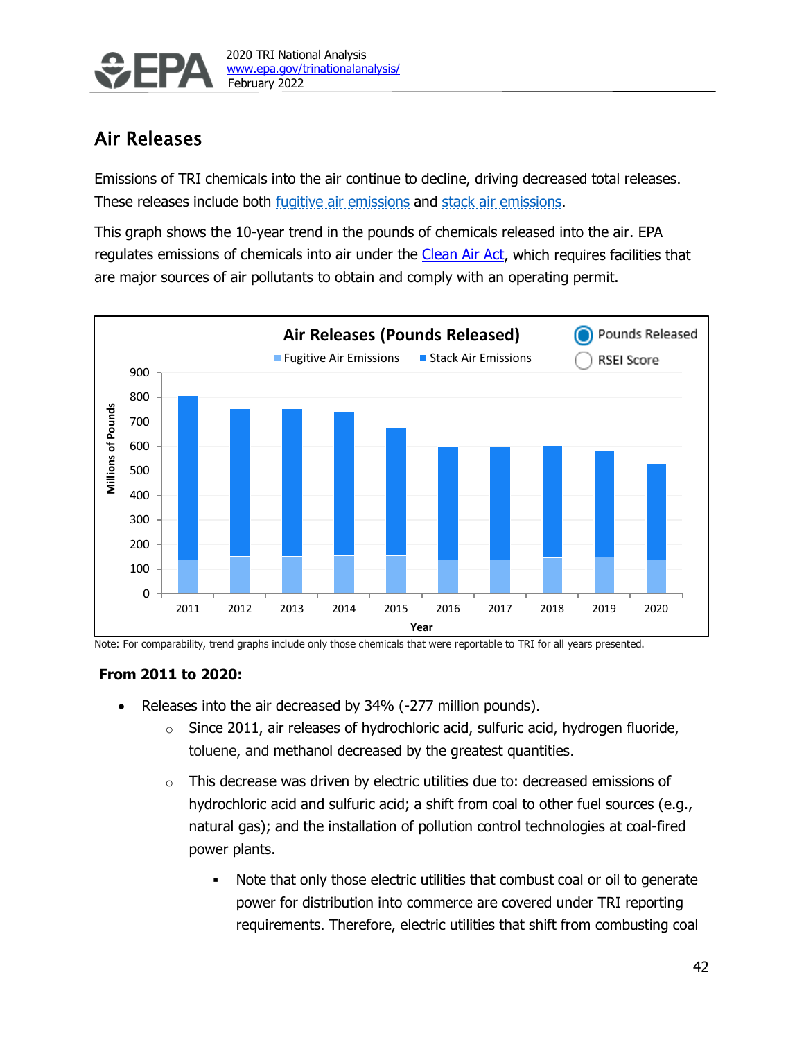

# Air Releases

Emissions of TRI chemicals into the air continue to decline, driving decreased total releases. These releases include both fugitive air emissions and stack air emissions.

This graph shows the 10-year trend in the pounds of chemicals released into the air. EPA regulates emissions of chemicals into air under the [Clean Air Act,](https://www.epa.gov/clean-air-act-overview) which requires facilities that are major sources of air pollutants to obtain and comply with an operating permit.



Note: For comparability, trend graphs include only those chemicals that were reportable to TRI for all years presented.

### **From 2011 to 2020:**

- Releases into the air decreased by 34% (-277 million pounds).
	- $\circ$  Since 2011, air releases of hydrochloric acid, sulfuric acid, hydrogen fluoride, toluene, and methanol decreased by the greatest quantities.
	- $\circ$  This decrease was driven by electric utilities due to: decreased emissions of hydrochloric acid and sulfuric acid; a shift from coal to other fuel sources (e.g., natural gas); and the installation of pollution control technologies at coal-fired power plants.
		- Note that only those electric utilities that combust coal or oil to generate power for distribution into commerce are covered under TRI reporting requirements. Therefore, electric utilities that shift from combusting coal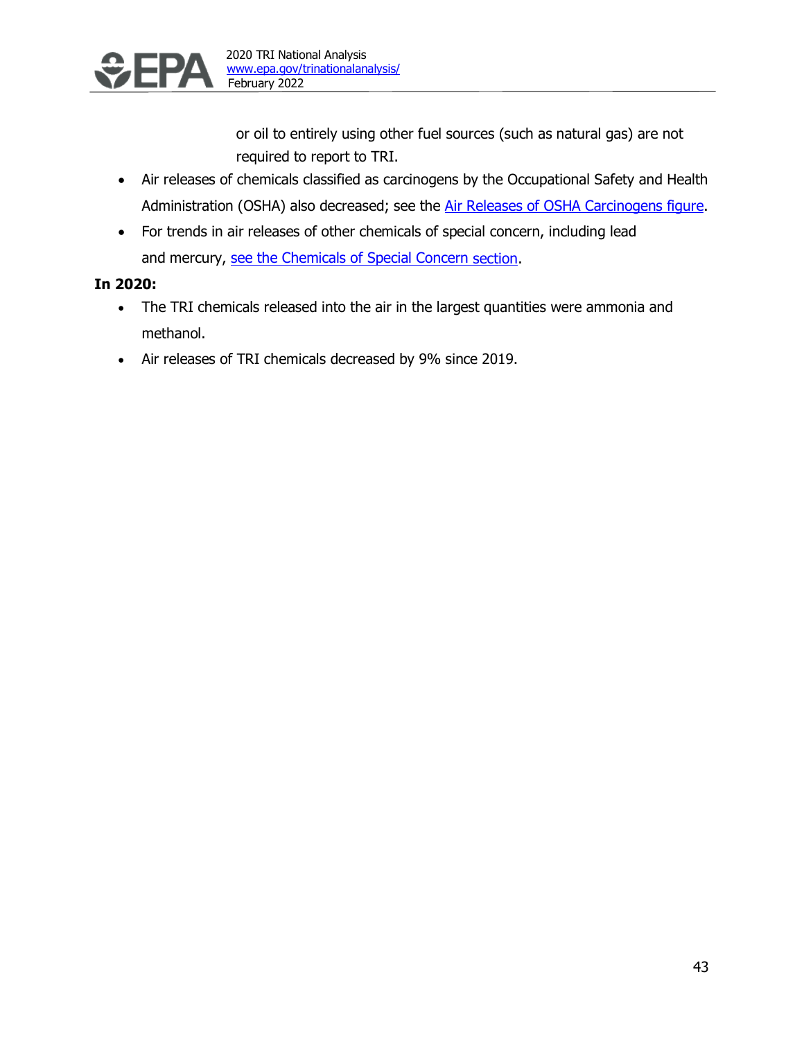

or oil to entirely using other fuel sources (such as natural gas) are not required to report to TRI.

- Air releases of chemicals classified as carcinogens by the Occupational Safety and Health Administration (OSHA) also decreased; see the [Air Releases of OSHA Carcinogens](#page-38-0) figure.
- For trends in air releases of other chemicals of special concern, including lead and mercury, [see the Chemicals of Special Concern](#page-27-0) section.

## **In 2020:**

- The TRI chemicals released into the air in the largest quantities were ammonia and methanol.
- Air releases of TRI chemicals decreased by 9% since 2019.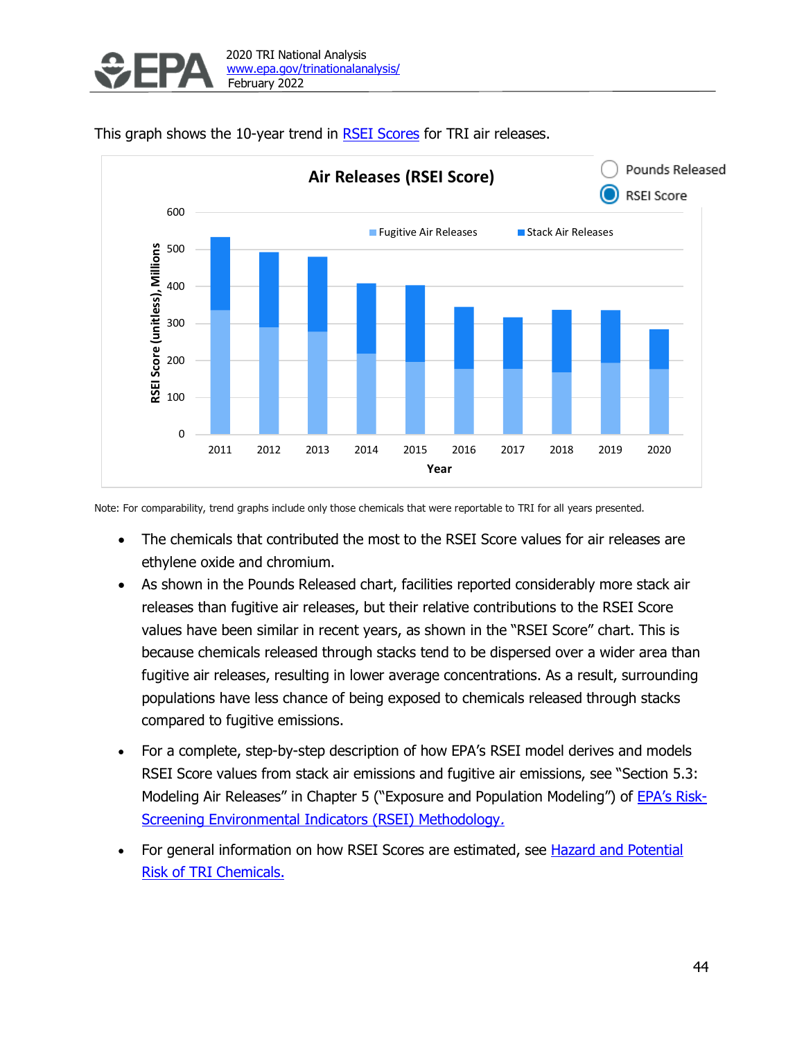

Pounds Released **Air Releases (RSEI Score)** RSEI Score 600 ■ Fugitive Air Releases ■ Stack Air Releases RSEI Score (unitless), Millions 500 **RSEI Score (unitless), Millions** 400 300 200 100 0 2011 2012 2013 2014 2015 2016 2017 2018 2019 2020 **Year**

This graph shows the 10-year trend in [RSEI Scores](#page-6-0) for TRI air releases.

Note: For comparability, trend graphs include only those chemicals that were reportable to TRI for all years presented.

- The chemicals that contributed the most to the RSEI Score values for air releases are ethylene oxide and chromium.
- As shown in the Pounds Released chart, facilities reported considerably more stack air releases than fugitive air releases, but their relative contributions to the RSEI Score values have been similar in recent years, as shown in the "RSEI Score" chart. This is because chemicals released through stacks tend to be dispersed over a wider area than fugitive air releases, resulting in lower average concentrations. As a result, surrounding populations have less chance of being exposed to chemicals released through stacks compared to fugitive emissions.
- For a complete, step-by-step description of how EPA's RSEI model derives and models RSEI Score values from stack air emissions and fugitive air emissions, see "Section 5.3: Modeling Air Releases" in Chapter 5 ("Exposure and Population Modeling") of [EPA's Risk-](https://www.epa.gov/rsei/risk-screening-environmental-indicators-rsei-methodology-version-239)[Screening Environmental Indicators \(RSEI\) Methodology](https://www.epa.gov/rsei/risk-screening-environmental-indicators-rsei-methodology-version-239).
- For general information on how RSEI Scores are estimated, see [Hazard and Potential](#page-6-0) [Risk of TRI Chemicals.](#page-6-0)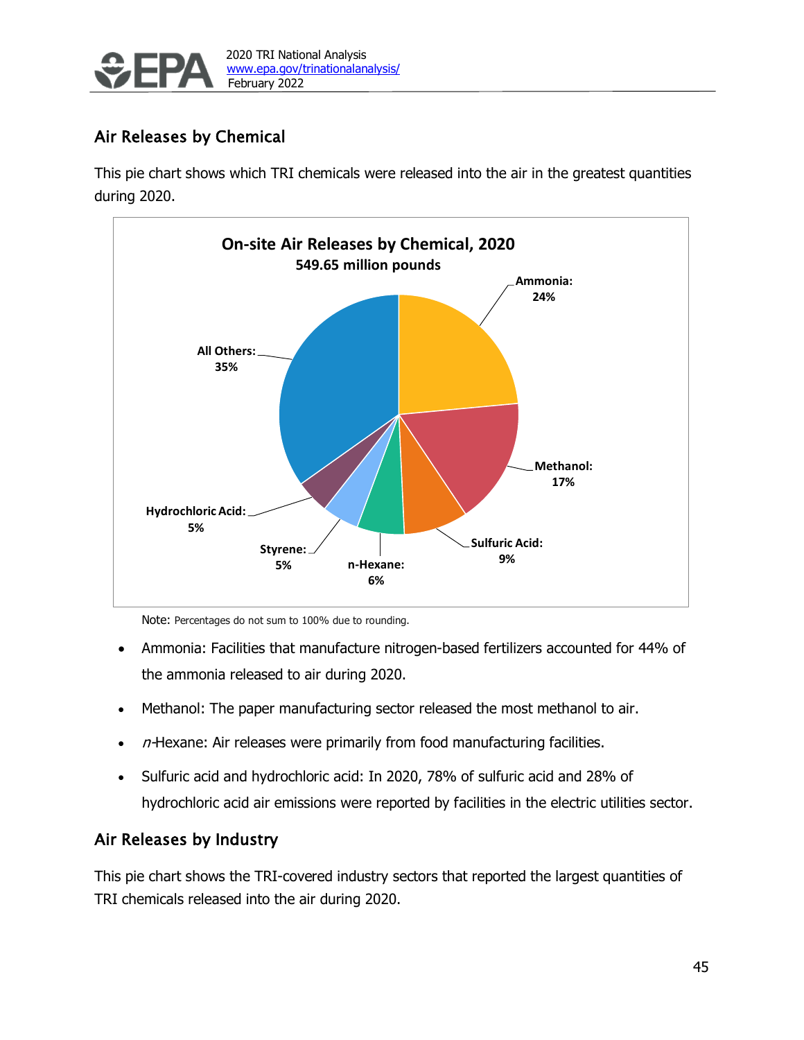

# Air Releases by Chemical

This pie chart shows which TRI chemicals were released into the air in the greatest quantities during 2020.



Note: Percentages do not sum to 100% due to rounding.

- Ammonia: Facilities that manufacture nitrogen-based fertilizers accounted for 44% of the ammonia released to air during 2020.
- Methanol: The paper manufacturing sector released the most methanol to air.
- $\bullet$  n-Hexane: Air releases were primarily from food manufacturing facilities.
- Sulfuric acid and hydrochloric acid: In 2020, 78% of sulfuric acid and 28% of hydrochloric acid air emissions were reported by facilities in the electric utilities sector.

## Air Releases by Industry

This pie chart shows the TRI-covered industry sectors that reported the largest quantities of TRI chemicals released into the air during 2020.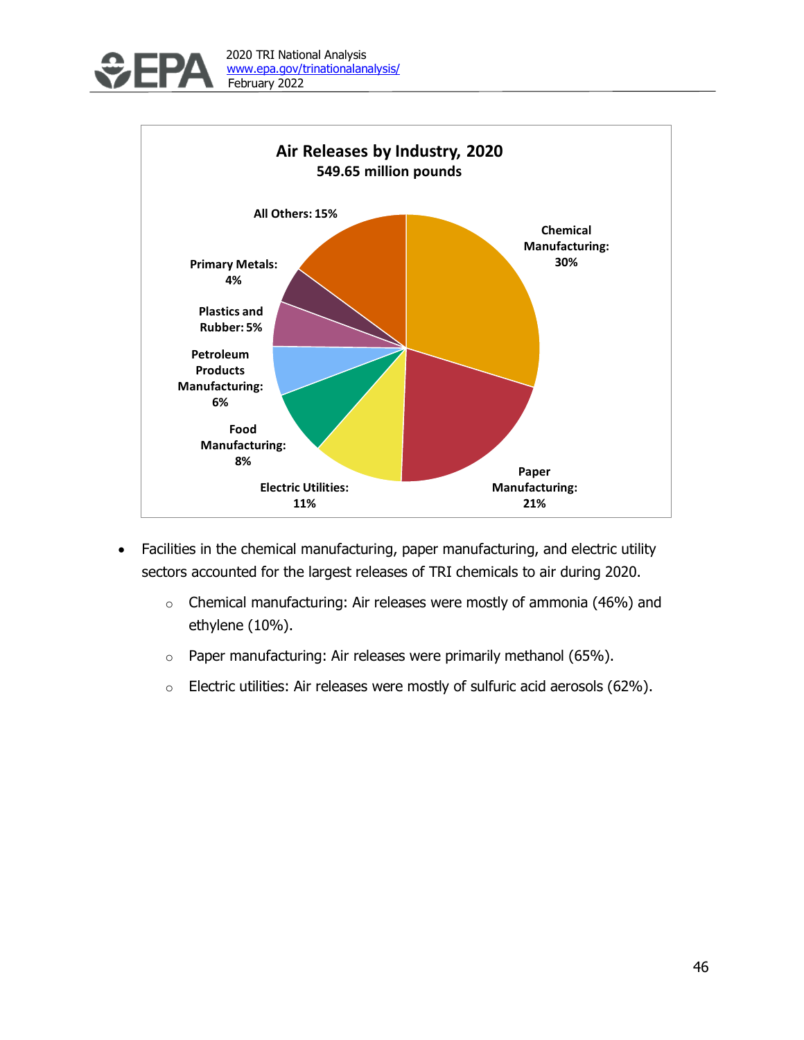



- Facilities in the chemical manufacturing, paper manufacturing, and electric utility sectors accounted for the largest releases of TRI chemicals to air during 2020.
	- $\circ$  Chemical manufacturing: Air releases were mostly of ammonia (46%) and ethylene (10%).
	- $\circ$  Paper manufacturing: Air releases were primarily methanol (65%).
	- o Electric utilities: Air releases were mostly of sulfuric acid aerosols (62%).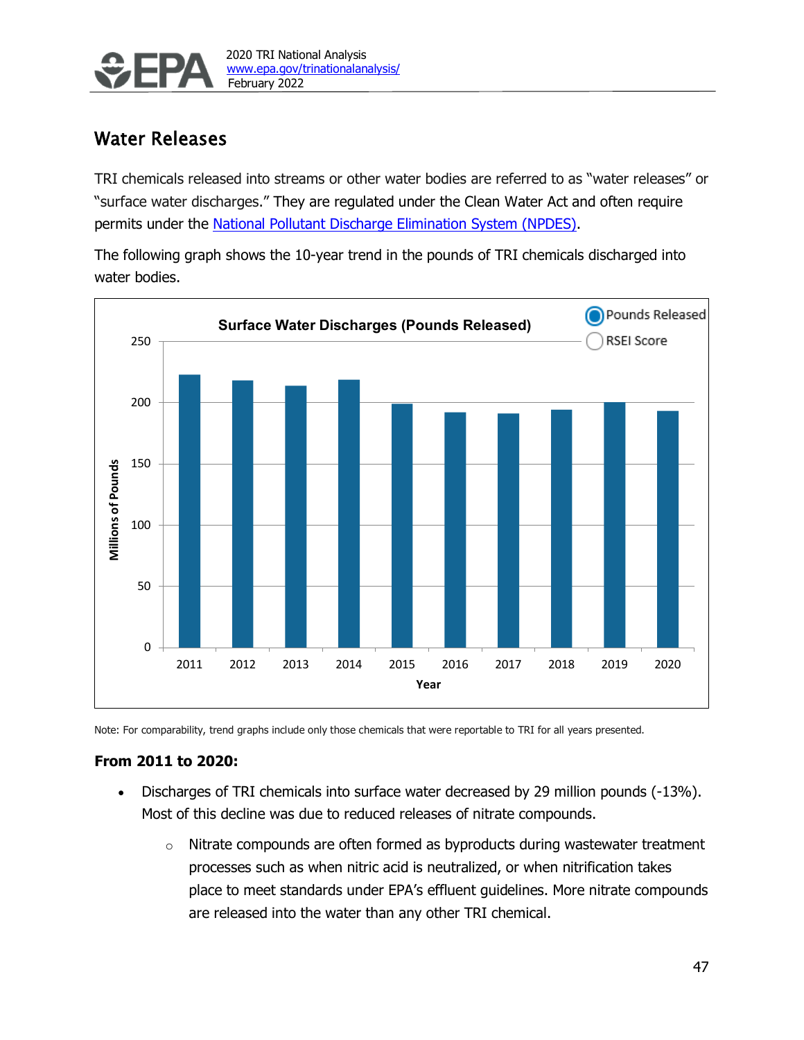

# Water Releases

TRI chemicals released into streams or other water bodies are referred to as "water releases" or "surface water discharges." They are regulated under the Clean Water Act and often require permits under the [National Pollutant Discharge Elimination System \(NPDES\).](https://www.epa.gov/npdes)

The following graph shows the 10-year trend in the pounds of TRI chemicals discharged into water bodies.



Note: For comparability, trend graphs include only those chemicals that were reportable to TRI for all years presented.

### **From 2011 to 2020:**

- Discharges of TRI chemicals into surface water decreased by 29 million pounds (-13%). Most of this decline was due to reduced releases of nitrate compounds.
	- $\circ$  Nitrate compounds are often formed as byproducts during wastewater treatment processes such as when nitric acid is neutralized, or when nitrification takes place to meet standards under EPA's effluent guidelines. More nitrate compounds are released into the water than any other TRI chemical.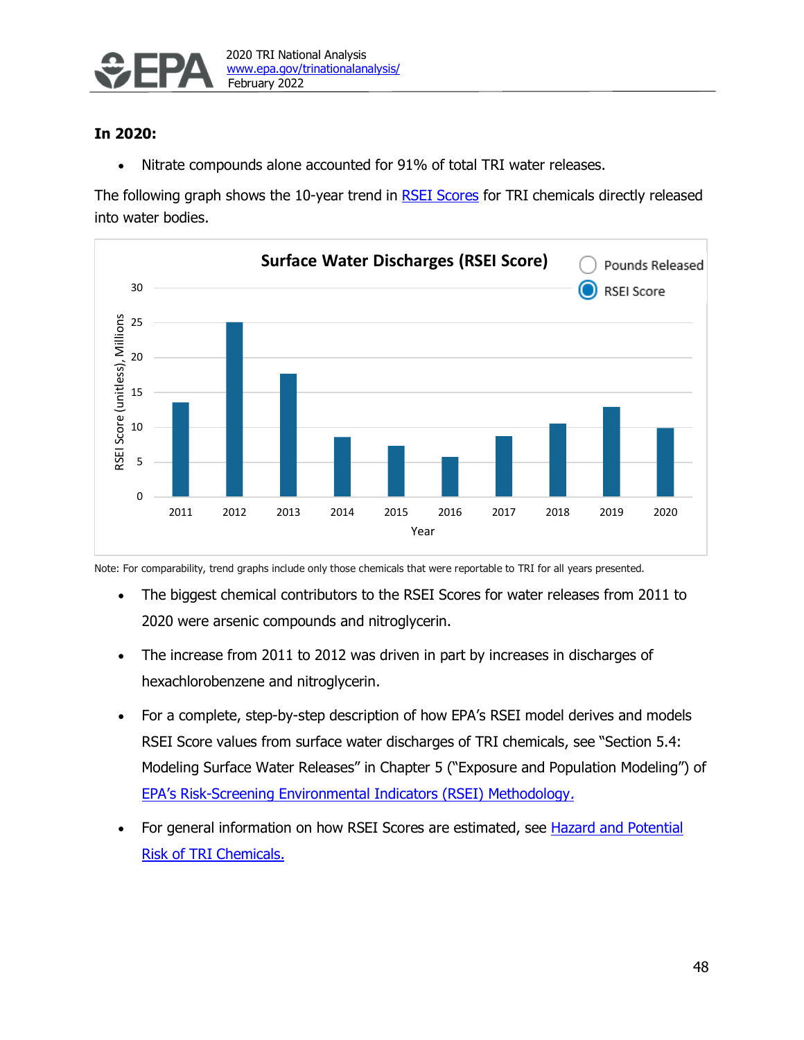

### **In 2020:**

• Nitrate compounds alone accounted for 91% of total TRI water releases.

The following graph shows the 10-year trend in [RSEI Scores](#page-6-0) for TRI chemicals directly released into water bodies.



Note: For comparability, trend graphs include only those chemicals that were reportable to TRI for all years presented.

- The biggest chemical contributors to the RSEI Scores for water releases from 2011 to 2020 were arsenic compounds and nitroglycerin.
- The increase from 2011 to 2012 was driven in part by increases in discharges of hexachlorobenzene and nitroglycerin.
- For a complete, step-by-step description of how EPA's RSEI model derives and models RSEI Score values from surface water discharges of TRI chemicals, see "Section 5.4: Modeling Surface Water Releases" in Chapter 5 ("Exposure and Population Modeling") of [EPA's Risk-Screening Environmental Indicators \(RSEI\) Methodology](https://www.epa.gov/rsei/risk-screening-environmental-indicators-rsei-methodology-version-239).
- For general information on how RSEI Scores are estimated, see [Hazard and Potential](#page-6-0) [Risk of TRI Chemicals.](#page-6-0)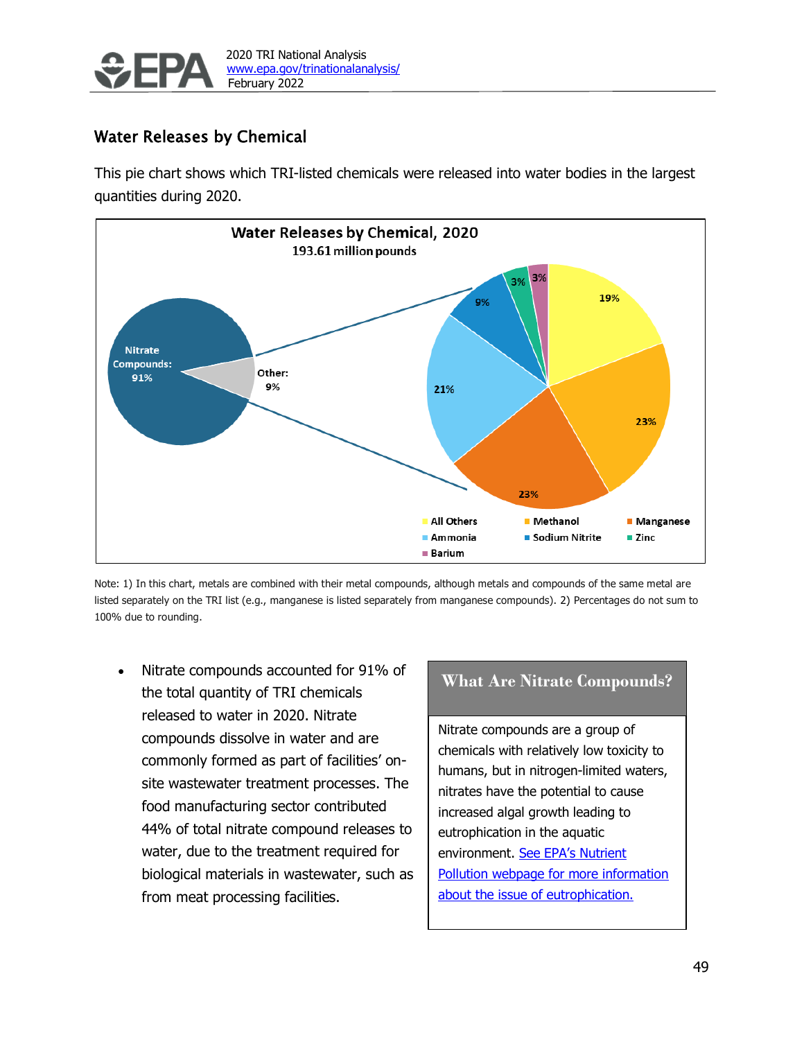

# Water Releases by Chemical

This pie chart shows which TRI-listed chemicals were released into water bodies in the largest quantities during 2020.



Note: 1) In this chart, metals are combined with their metal compounds, although metals and compounds of the same metal are listed separately on the TRI list (e.g., manganese is listed separately from manganese compounds). 2) Percentages do not sum to 100% due to rounding.

• Nitrate compounds accounted for 91% of the total quantity of TRI chemicals released to water in 2020. Nitrate compounds dissolve in water and are commonly formed as part of facilities' onsite wastewater treatment processes. The food manufacturing sector contributed 44% of total nitrate compound releases to water, due to the treatment required for biological materials in wastewater, such as from meat processing facilities.

## **What Are Nitrate Compounds?**

Nitrate compounds are a group of chemicals with relatively low toxicity to humans, but in nitrogen-limited waters, nitrates have the potential to cause increased algal growth leading to eutrophication in the aquatic environment. [See EPA's Nutrient](https://www.epa.gov/nutrientpollution/problem)  [Pollution webpage for more information](https://www.epa.gov/nutrientpollution/problem)  [about the issue of eutrophication.](https://www.epa.gov/nutrientpollution/problem)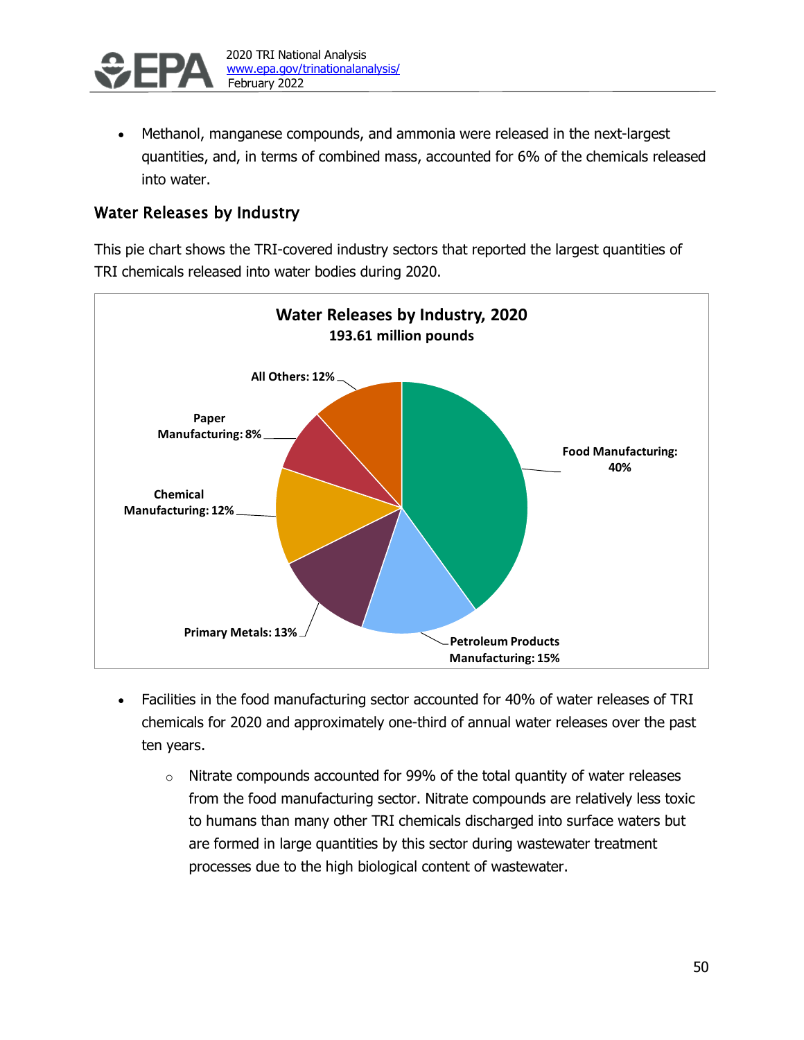

• Methanol, manganese compounds, and ammonia were released in the next-largest quantities, and, in terms of combined mass, accounted for 6% of the chemicals released into water.

# Water Releases by Industry

This pie chart shows the TRI-covered industry sectors that reported the largest quantities of TRI chemicals released into water bodies during 2020.



- Facilities in the food manufacturing sector accounted for 40% of water releases of TRI chemicals for 2020 and approximately one-third of annual water releases over the past ten years.
	- $\circ$  Nitrate compounds accounted for 99% of the total quantity of water releases from the food manufacturing sector. Nitrate compounds are relatively less toxic to humans than many other TRI chemicals discharged into surface waters but are formed in large quantities by this sector during wastewater treatment processes due to the high biological content of wastewater.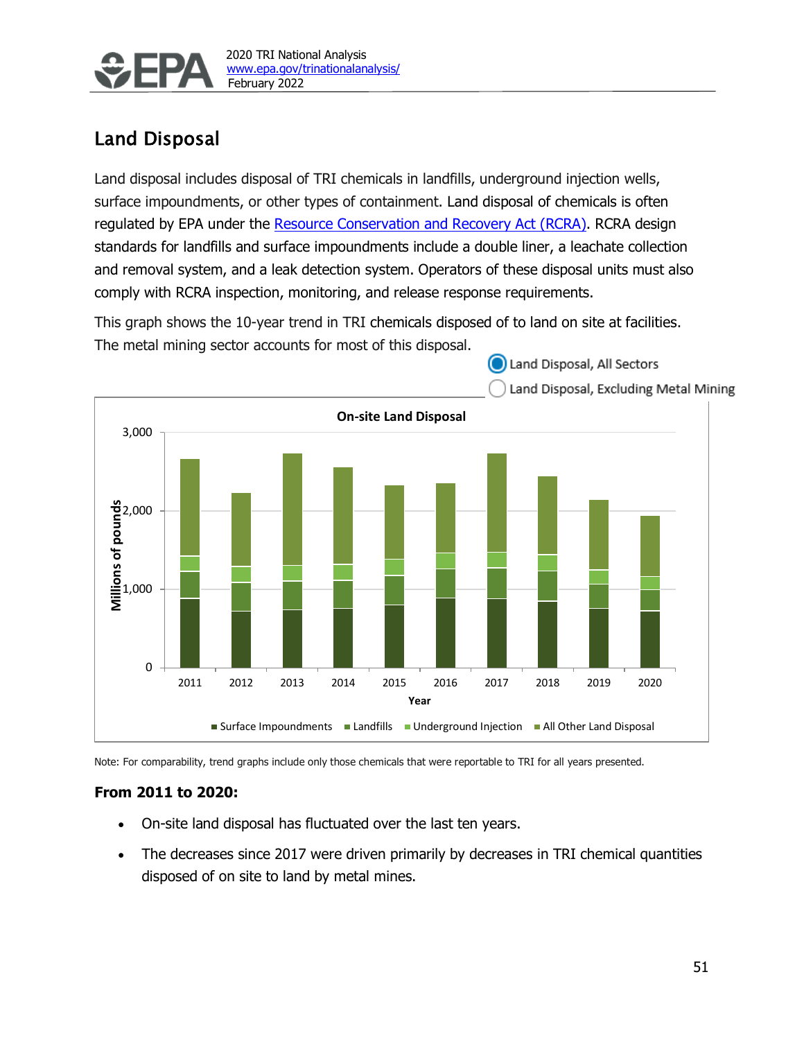

# Land Disposal

Land disposal includes disposal of TRI chemicals in landfills, underground injection wells, surface impoundments, or other types of containment. Land disposal of chemicals is often regulated by EPA under the [Resource Conservation and Recovery Act \(RCRA\).](https://www.epa.gov/rcra/resource-conservation-and-recovery-act-rcra-overview) RCRA design standards for landfills and surface impoundments include a double liner, a leachate collection and removal system, and a leak detection system. Operators of these disposal units must also comply with RCRA inspection, monitoring, and release response requirements.

This graph shows the 10-year trend in TRI chemicals disposed of to land on site at facilities. The metal mining sector accounts for most of this disposal.

(and Disposal, All Sectors



Note: For comparability, trend graphs include only those chemicals that were reportable to TRI for all years presented.

#### **From 2011 to 2020:**

- On-site land disposal has fluctuated over the last ten years.
- The decreases since 2017 were driven primarily by decreases in TRI chemical quantities disposed of on site to land by metal mines.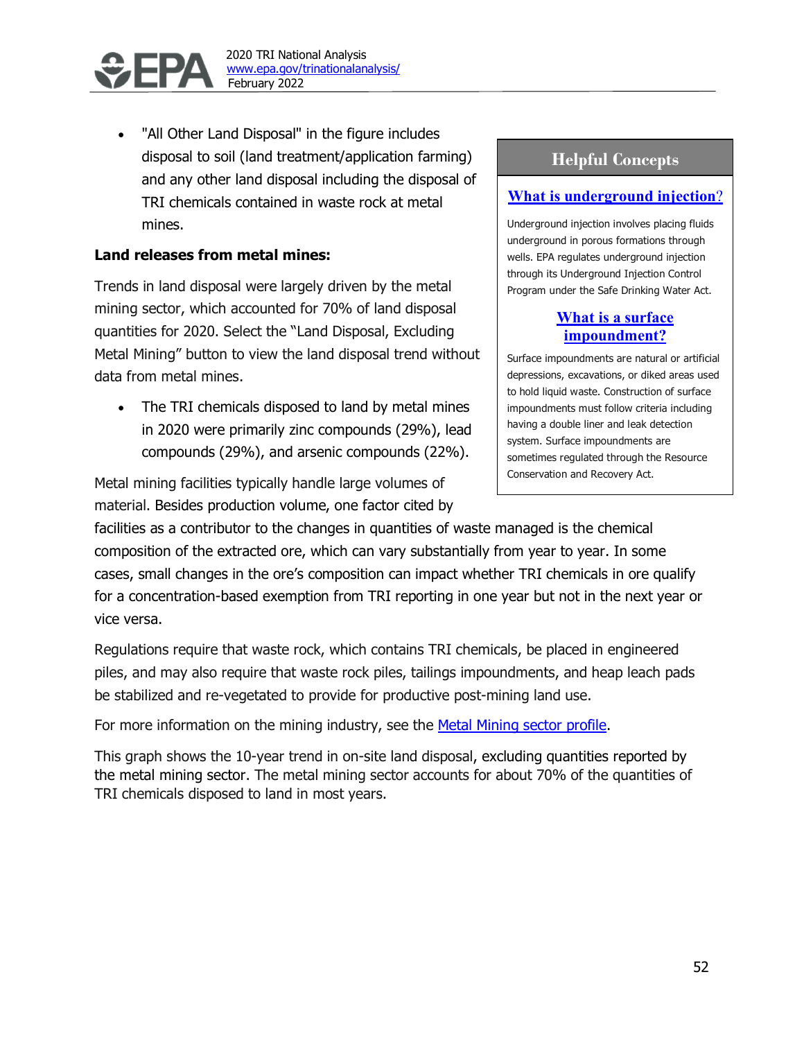

"All Other Land Disposal" in the figure includes disposal to soil (land treatment/application farming) and any other land disposal including the disposal of TRI chemicals contained in waste rock at metal mines.

### **Land releases from metal mines:**

Trends in land disposal were largely driven by the metal mining sector, which accounted for 70% of land disposal quantities for 2020. Select the "Land Disposal, Excluding Metal Mining" button to view the land disposal trend without data from metal mines.

• The TRI chemicals disposed to land by metal mines in 2020 were primarily zinc compounds (29%), lead compounds (29%), and arsenic compounds (22%).

Metal mining facilities typically handle large volumes of material. Besides production volume, one factor cited by

## **Helpful Concepts**

### **[What is underground injection](https://www.epa.gov/uic/general-information-about-injection-wells)**?

Underground injection involves placing fluids underground in porous formations through wells. EPA regulates underground injection through its Underground Injection Control Program under the Safe Drinking Water Act.

## **[What is a surface](https://www.epa.gov/hwpermitting/hazardous-waste-management-facilities-and-units#surfaceimpoundments)  [impoundment?](https://www.epa.gov/hwpermitting/hazardous-waste-management-facilities-and-units#surfaceimpoundments)**

Surface impoundments are natural or artificial depressions, excavations, or diked areas used to hold liquid waste. Construction of surface impoundments must follow criteria including having a double liner and leak detection system. Surface impoundments are sometimes regulated through the Resource Conservation and Recovery Act.

facilities as a contributor to the changes in quantities of waste managed is the chemical composition of the extracted ore, which can vary substantially from year to year. In some cases, small changes in the ore's composition can impact whether TRI chemicals in ore qualify for a concentration-based exemption from TRI reporting in one year but not in the next year or vice versa.

Regulations require that waste rock, which contains TRI chemicals, be placed in engineered piles, and may also require that waste rock piles, tailings impoundments, and heap leach pads be stabilized and re-vegetated to provide for productive post-mining land use.

For more information on the mining industry, see the Metal Mining sector profile.

This graph shows the 10-year trend in on-site land disposal, excluding quantities reported by the metal mining sector. The metal mining sector accounts for about 70% of the quantities of TRI chemicals disposed to land in most years.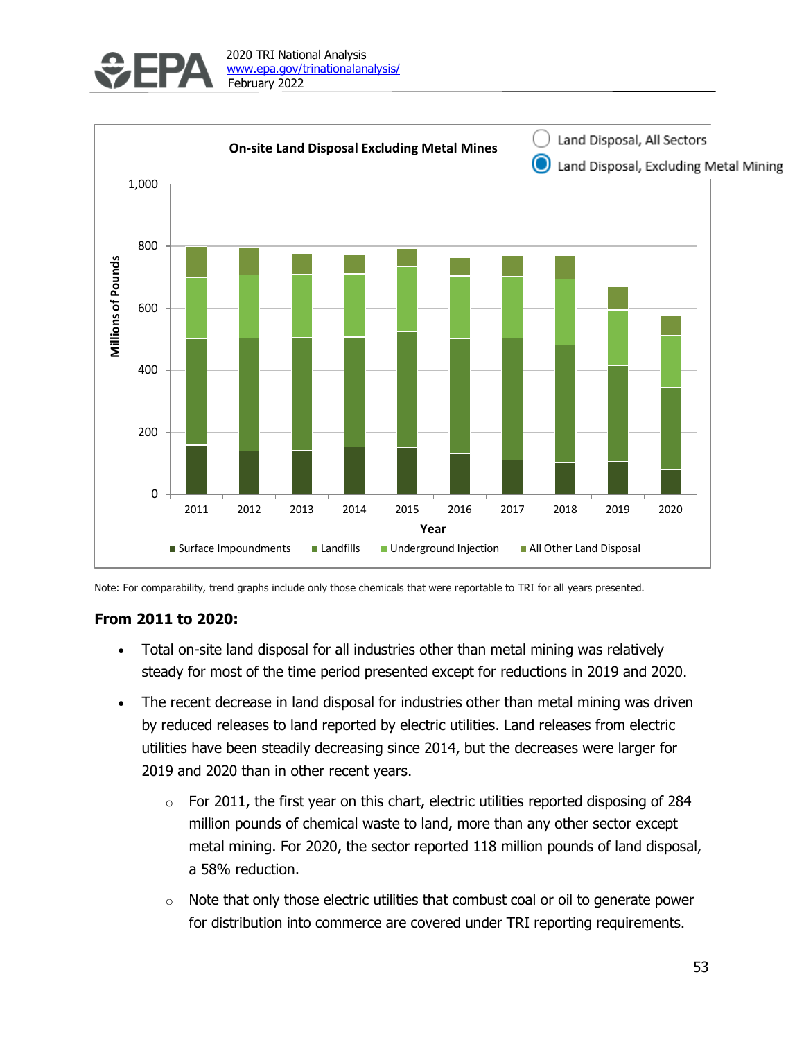



Note: For comparability, trend graphs include only those chemicals that were reportable to TRI for all years presented.

#### **From 2011 to 2020:**

- Total on-site land disposal for all industries other than metal mining was relatively steady for most of the time period presented except for reductions in 2019 and 2020.
- The recent decrease in land disposal for industries other than metal mining was driven by reduced releases to land reported by electric utilities. Land releases from electric utilities have been steadily decreasing since 2014, but the decreases were larger for 2019 and 2020 than in other recent years.
	- $\circ$  For 2011, the first year on this chart, electric utilities reported disposing of 284 million pounds of chemical waste to land, more than any other sector except metal mining. For 2020, the sector reported 118 million pounds of land disposal, a 58% reduction.
	- $\circ$  Note that only those electric utilities that combust coal or oil to generate power for distribution into commerce are covered under TRI reporting requirements.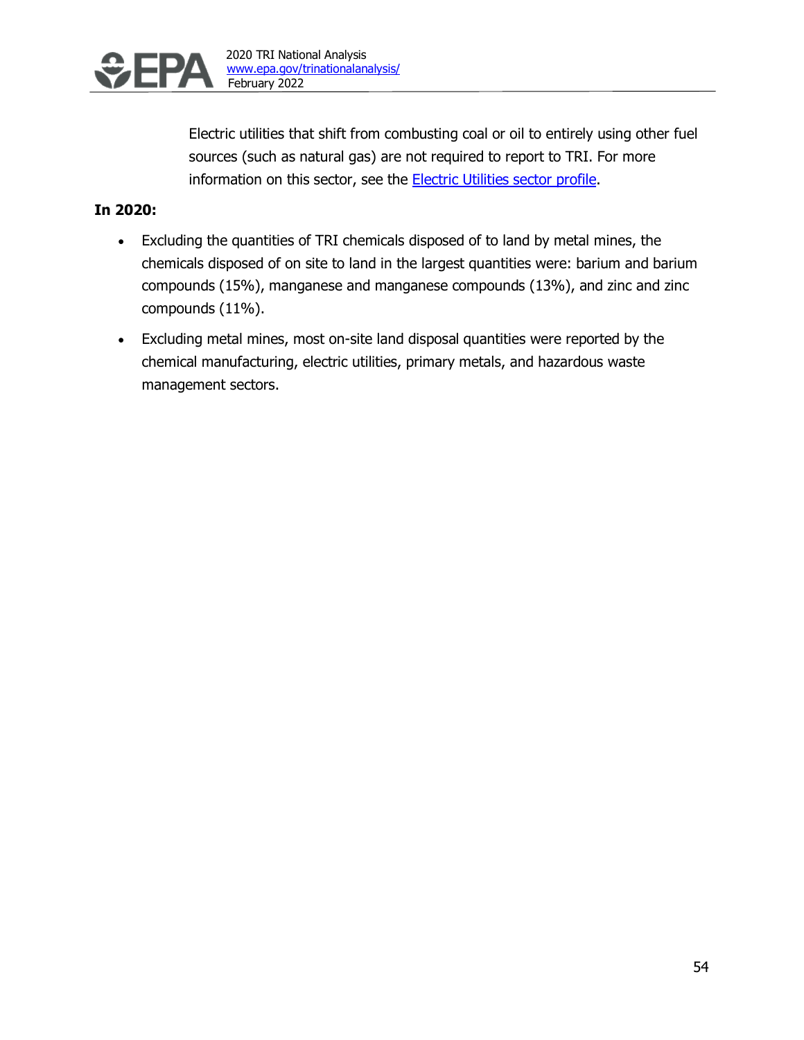

Electric utilities that shift from combusting coal or oil to entirely using other fuel sources (such as natural gas) are not required to report to TRI. For more information on this sector, see the **Electric Utilities sector profile**.

### **In 2020:**

- Excluding the quantities of TRI chemicals disposed of to land by metal mines, the chemicals disposed of on site to land in the largest quantities were: barium and barium compounds (15%), manganese and manganese compounds (13%), and zinc and zinc compounds (11%).
- Excluding metal mines, most on-site land disposal quantities were reported by the chemical manufacturing, electric utilities, primary metals, and hazardous waste management sectors.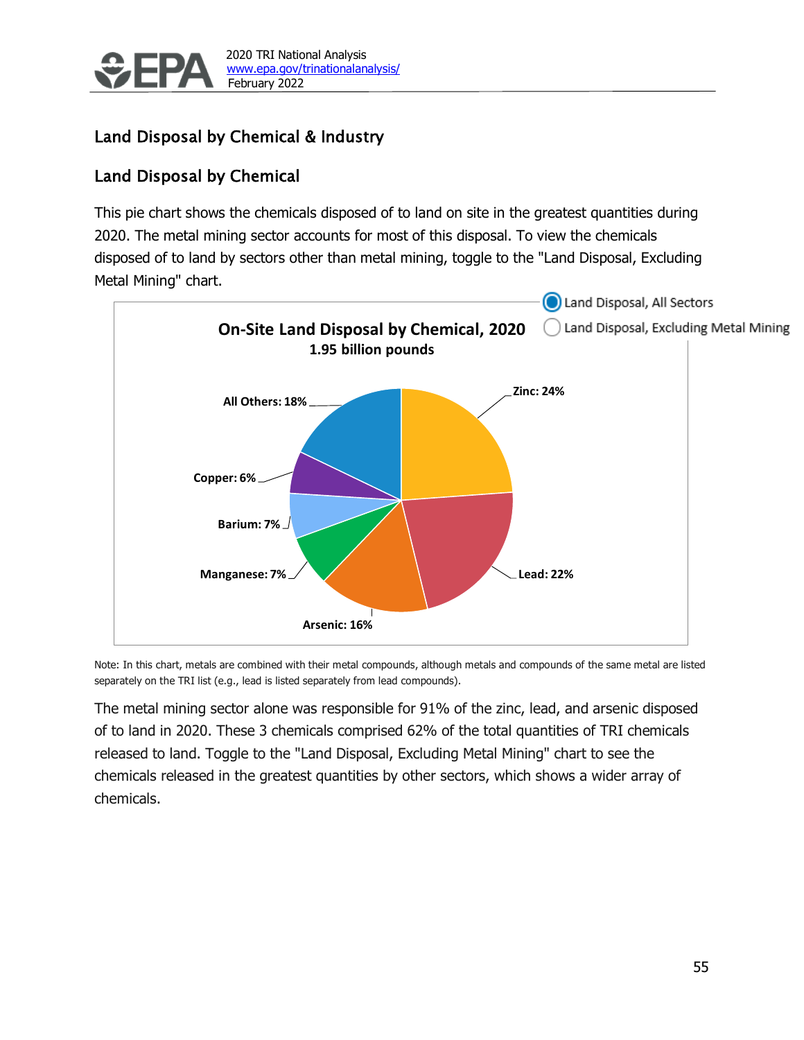

# Land Disposal by Chemical & Industry

# Land Disposal by Chemical

This pie chart shows the chemicals disposed of to land on site in the greatest quantities during 2020. The metal mining sector accounts for most of this disposal. To view the chemicals disposed of to land by sectors other than metal mining, toggle to the "Land Disposal, Excluding Metal Mining" chart.



Note: In this chart, metals are combined with their metal compounds, although metals and compounds of the same metal are listed separately on the TRI list (e.g., lead is listed separately from lead compounds).

The metal mining sector alone was responsible for 91% of the zinc, lead, and arsenic disposed of to land in 2020. These 3 chemicals comprised 62% of the total quantities of TRI chemicals released to land. Toggle to the "Land Disposal, Excluding Metal Mining" chart to see the chemicals released in the greatest quantities by other sectors, which shows a wider array of chemicals.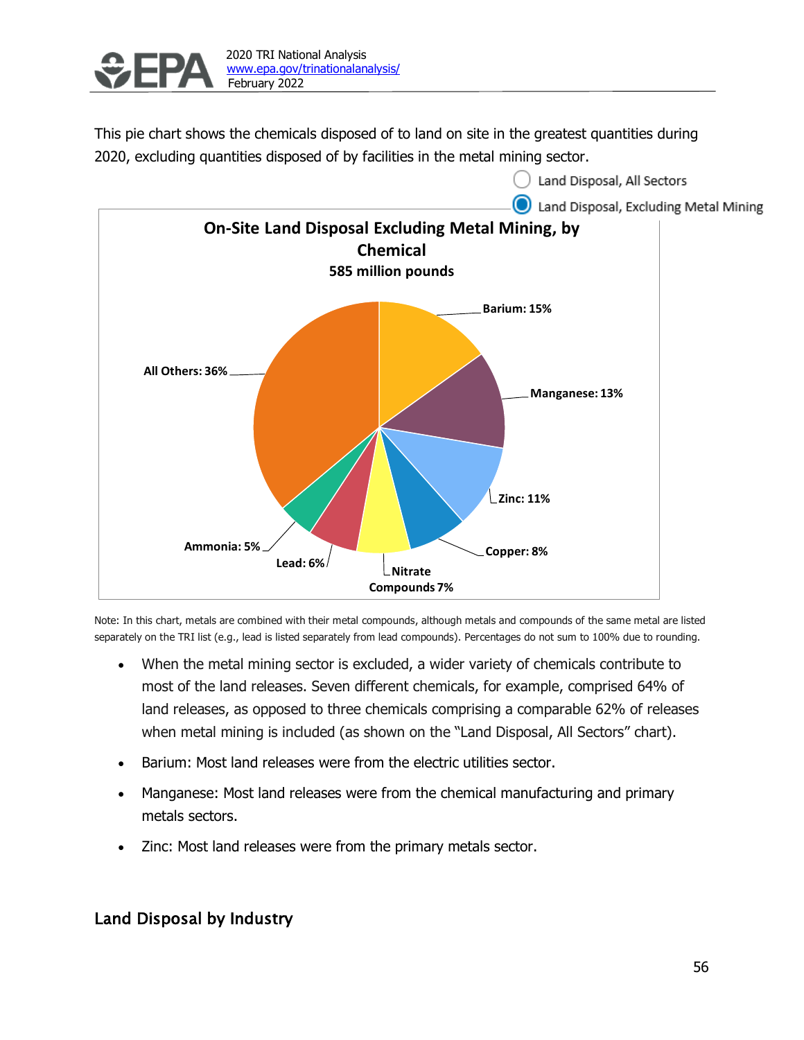

This pie chart shows the chemicals disposed of to land on site in the greatest quantities during 2020, excluding quantities disposed of by facilities in the metal mining sector.



Note: In this chart, metals are combined with their metal compounds, although metals and compounds of the same metal are listed separately on the TRI list (e.g., lead is listed separately from lead compounds). Percentages do not sum to 100% due to rounding.

- When the metal mining sector is excluded, a wider variety of chemicals contribute to most of the land releases. Seven different chemicals, for example, comprised 64% of land releases, as opposed to three chemicals comprising a comparable 62% of releases when metal mining is included (as shown on the "Land Disposal, All Sectors" chart).
- Barium: Most land releases were from the electric utilities sector.
- Manganese: Most land releases were from the chemical manufacturing and primary metals sectors.
- Zinc: Most land releases were from the primary metals sector.

## Land Disposal by Industry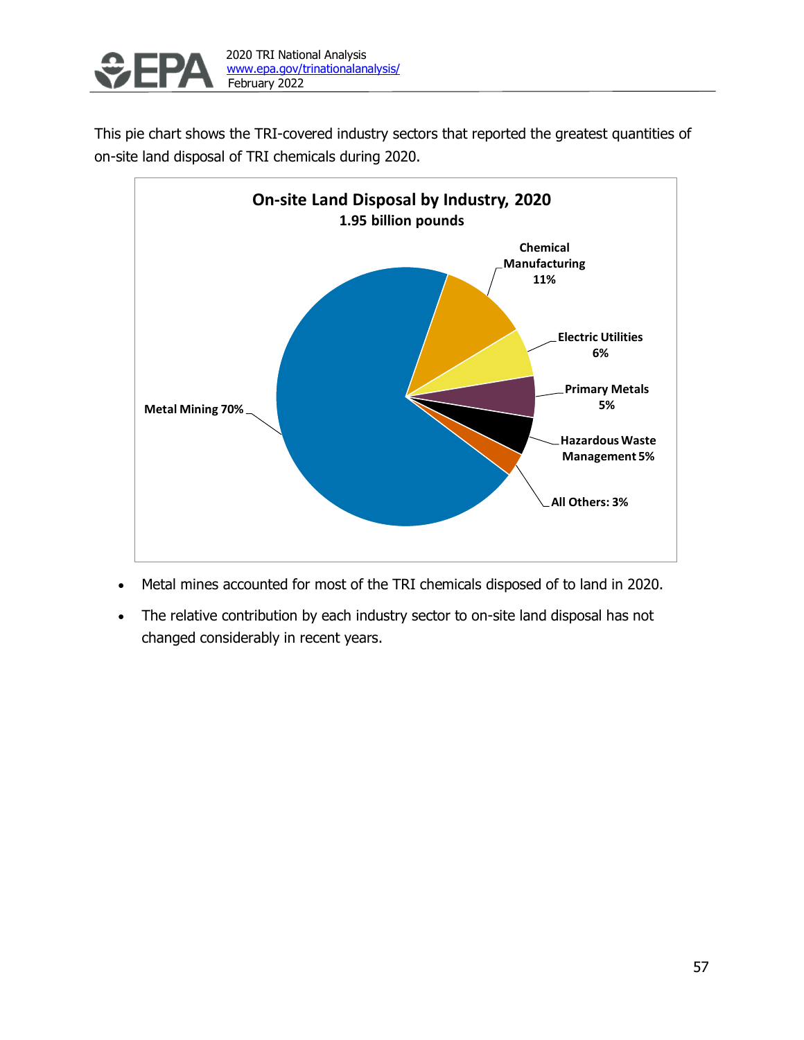

This pie chart shows the TRI-covered industry sectors that reported the greatest quantities of on-site land disposal of TRI chemicals during 2020.



- Metal mines accounted for most of the TRI chemicals disposed of to land in 2020.
- The relative contribution by each industry sector to on-site land disposal has not changed considerably in recent years.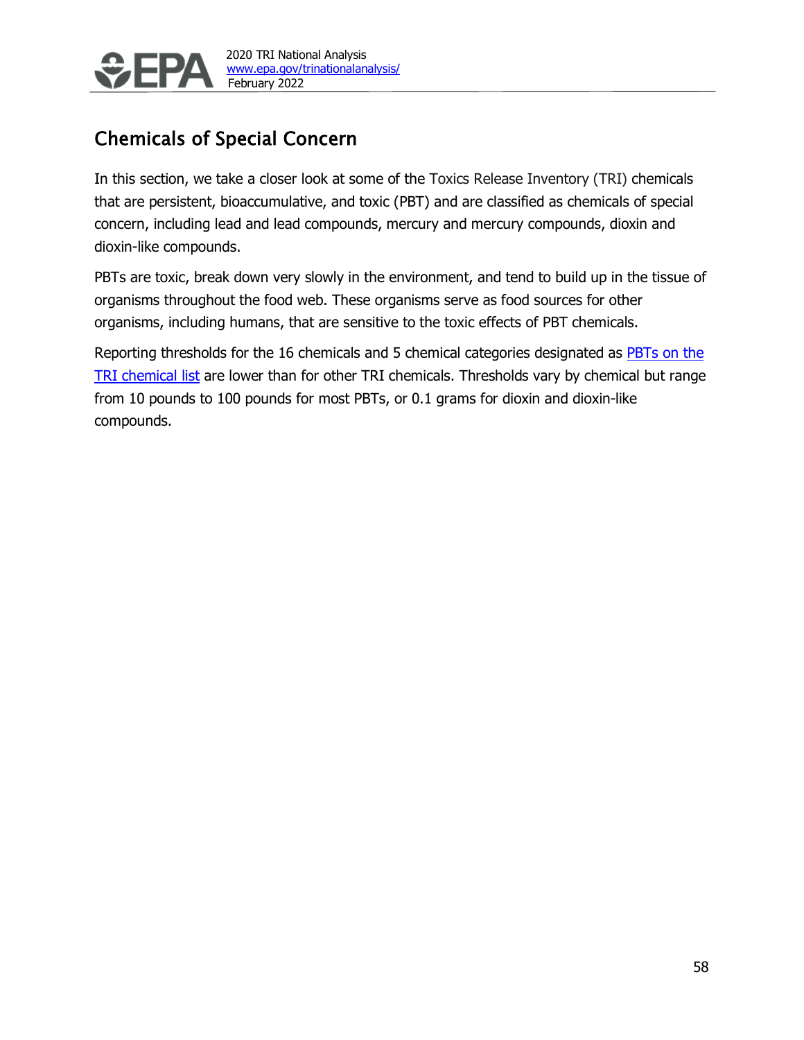

# <span id="page-27-0"></span>Chemicals of Special Concern

In this section, we take a closer look at some of the Toxics Release Inventory (TRI) chemicals that are persistent, bioaccumulative, and toxic (PBT) and are classified as chemicals of special concern, including lead and lead compounds, mercury and mercury compounds, dioxin and dioxin-like compounds.

PBTs are toxic, break down very slowly in the environment, and tend to build up in the tissue of organisms throughout the food web. These organisms serve as food sources for other organisms, including humans, that are sensitive to the toxic effects of PBT chemicals.

Reporting thresholds for the 16 chemicals and 5 chemical categories designated as **PBTs** on the [TRI chemical list](https://www.epa.gov/toxics-release-inventory-tri-program/persistent-bioaccumulative-toxic-pbt-chemicals-covered-tri) are lower than for other TRI chemicals. Thresholds vary by chemical but range from 10 pounds to 100 pounds for most PBTs, or 0.1 grams for dioxin and dioxin-like compounds.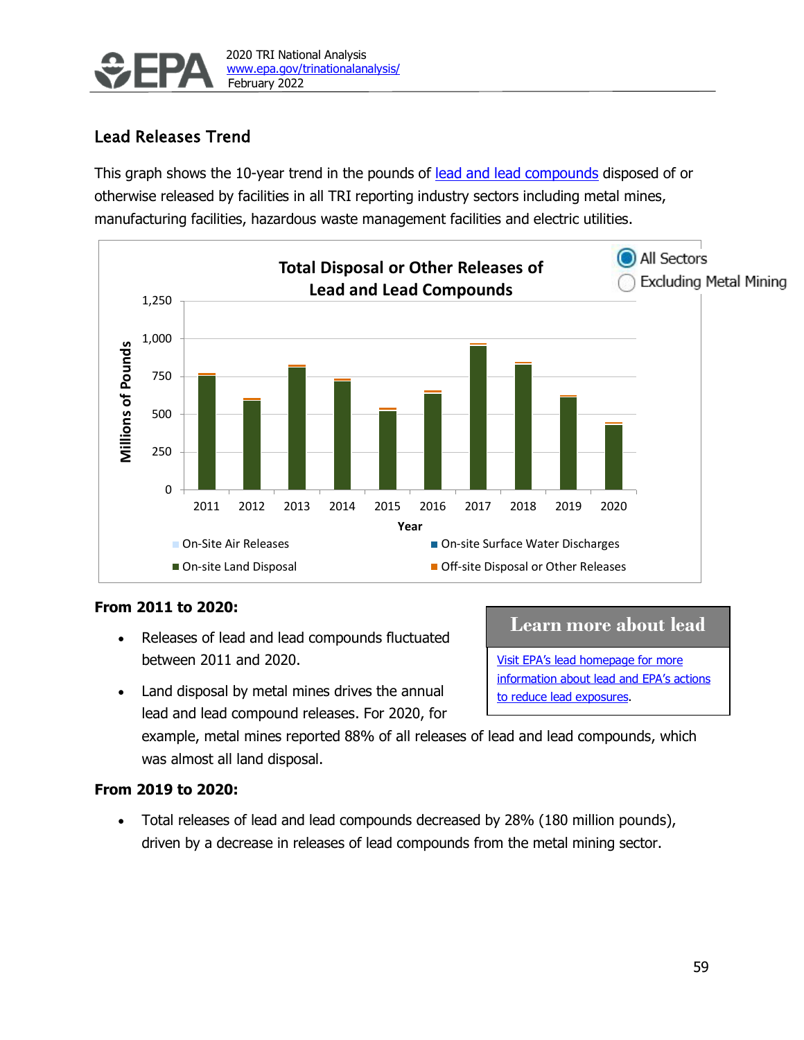

# Lead Releases Trend

This graph shows the 10-year trend in the pounds of [lead and lead compounds](https://wwwn.cdc.gov/TSP/ToxFAQs/ToxFAQsDetails.aspx?faqid=93&toxid=22) disposed of or otherwise released by facilities in all TRI reporting industry sectors including metal mines, manufacturing facilities, hazardous waste management facilities and electric utilities.



### **From 2011 to 2020:**

• Releases of lead and lead compounds fluctuated between 2011 and 2020.

## **Learn more about lead**

[Visit EPA's lead homepage for more](https://www.epa.gov/lead)  [information about lead and EPA's actions](https://www.epa.gov/lead)  [to reduce lead exposures.](https://www.epa.gov/lead)

• Land disposal by metal mines drives the annual lead and lead compound releases. For 2020, for

example, metal mines reported 88% of all releases of lead and lead compounds, which was almost all land disposal.

### **From 2019 to 2020:**

• Total releases of lead and lead compounds decreased by 28% (180 million pounds), driven by a decrease in releases of lead compounds from the metal mining sector.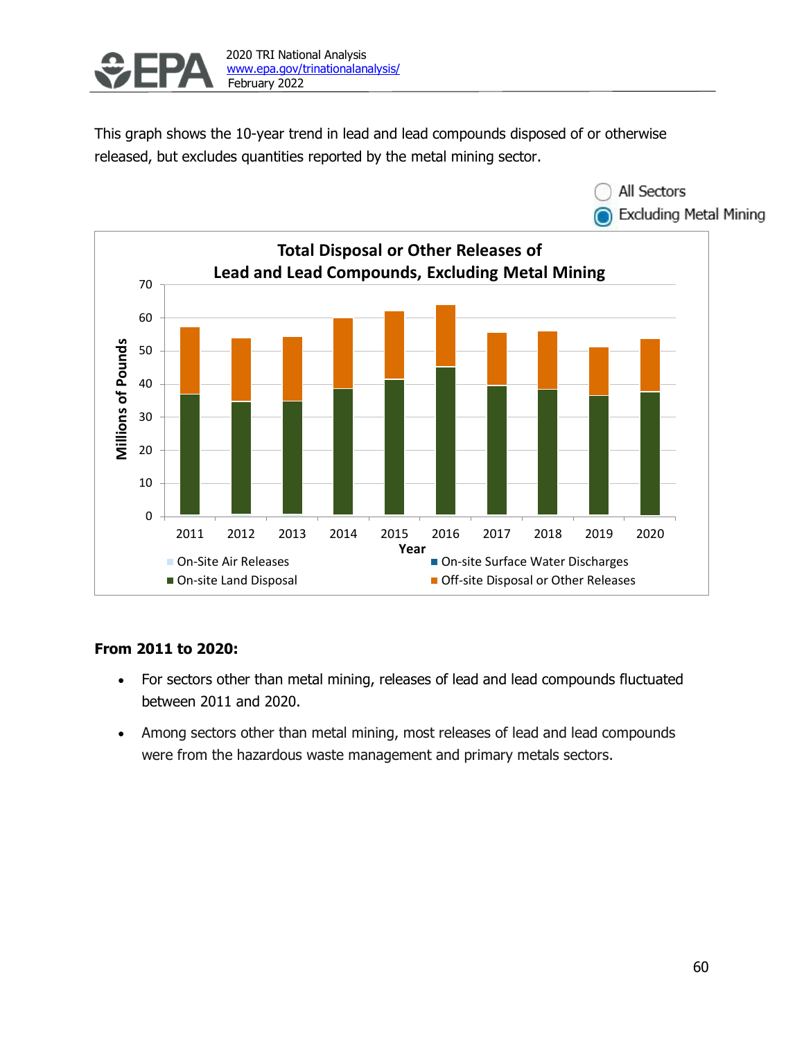

This graph shows the 10-year trend in lead and lead compounds disposed of or otherwise released, but excludes quantities reported by the metal mining sector.



### **From 2011 to 2020:**

- For sectors other than metal mining, releases of lead and lead compounds fluctuated between 2011 and 2020.
- Among sectors other than metal mining, most releases of lead and lead compounds were from the hazardous waste management and primary metals sectors.

All Sectors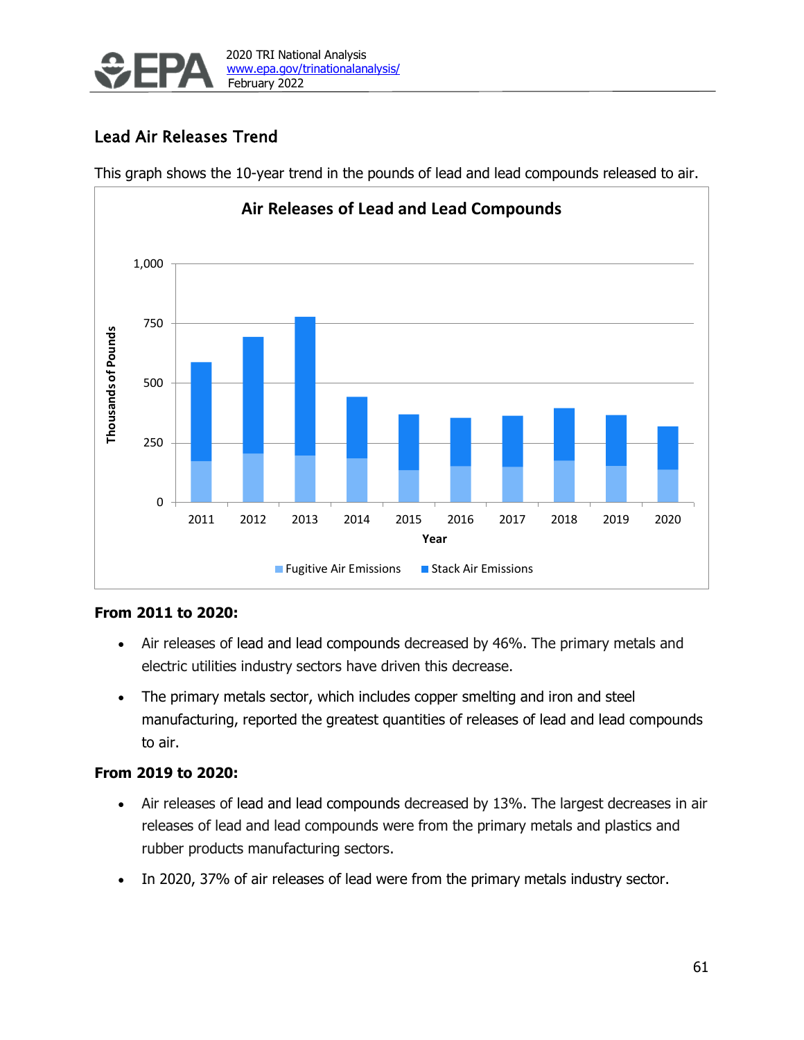

# Lead Air Releases Trend

This graph shows the 10-year trend in the pounds of lead and lead compounds released to air.



### **From 2011 to 2020:**

- Air releases of lead and lead compounds decreased by 46%. The primary metals and electric utilities industry sectors have driven this decrease.
- The primary metals sector, which includes copper smelting and iron and steel manufacturing, reported the greatest quantities of releases of lead and lead compounds to air.

### **From 2019 to 2020:**

- Air releases of lead and lead compounds decreased by 13%. The largest decreases in air releases of lead and lead compounds were from the primary metals and plastics and rubber products manufacturing sectors.
- In 2020, 37% of air releases of lead were from the primary metals industry sector.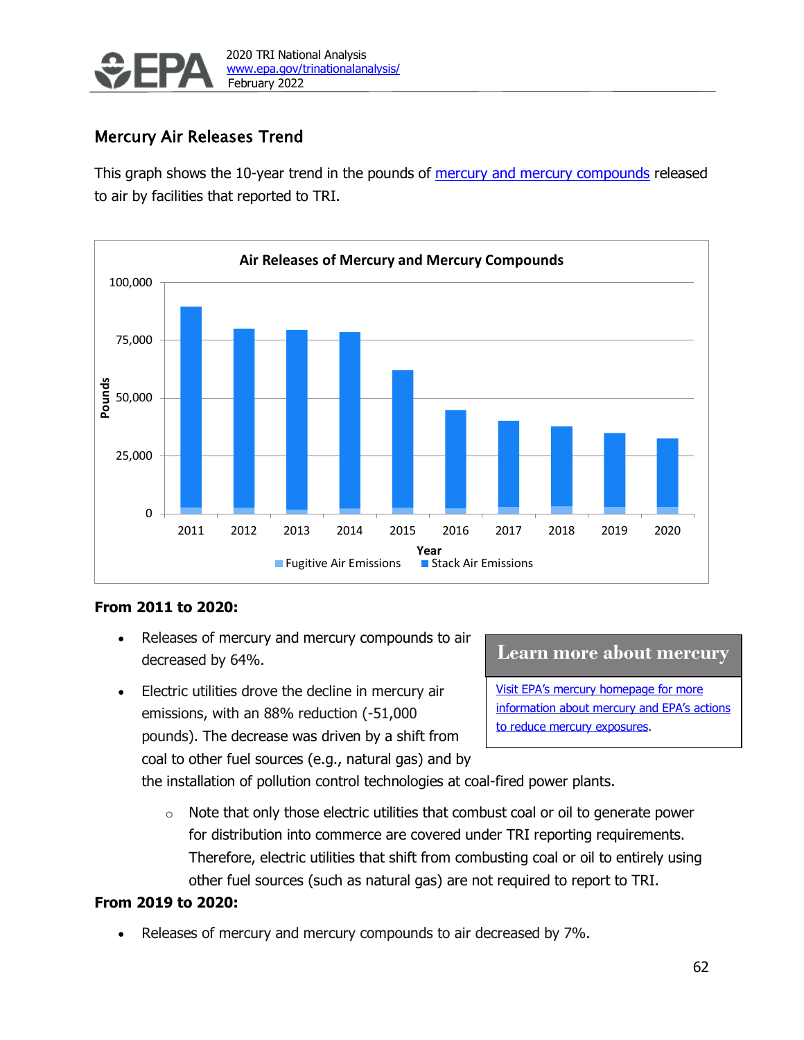

# Mercury Air Releases Trend

This graph shows the 10-year trend in the pounds of [mercury and mercury compounds](https://wwwn.cdc.gov/TSP/ToxFAQs/ToxFAQsDetails.aspx?faqid=113&toxid=24) released to air by facilities that reported to TRI.



### **From 2011 to 2020:**

- Releases of mercury and mercury compounds to air decreased by 64%.
- Electric utilities drove the decline in mercury air emissions, with an 88% reduction (-51,000 pounds). The decrease was driven by a shift from coal to other fuel sources (e.g., natural gas) and by

#### **Learn more about mercury**

[Visit EPA's mercury homepage for more](https://www.epa.gov/mercury)  information about mercury and EPA's actions [to reduce mercury exposures.](https://www.epa.gov/mercury)

the installation of pollution control technologies at coal-fired power plants.

 $\circ$  Note that only those electric utilities that combust coal or oil to generate power for distribution into commerce are covered under TRI reporting requirements. Therefore, electric utilities that shift from combusting coal or oil to entirely using other fuel sources (such as natural gas) are not required to report to TRI.

### **From 2019 to 2020:**

• Releases of mercury and mercury compounds to air decreased by 7%.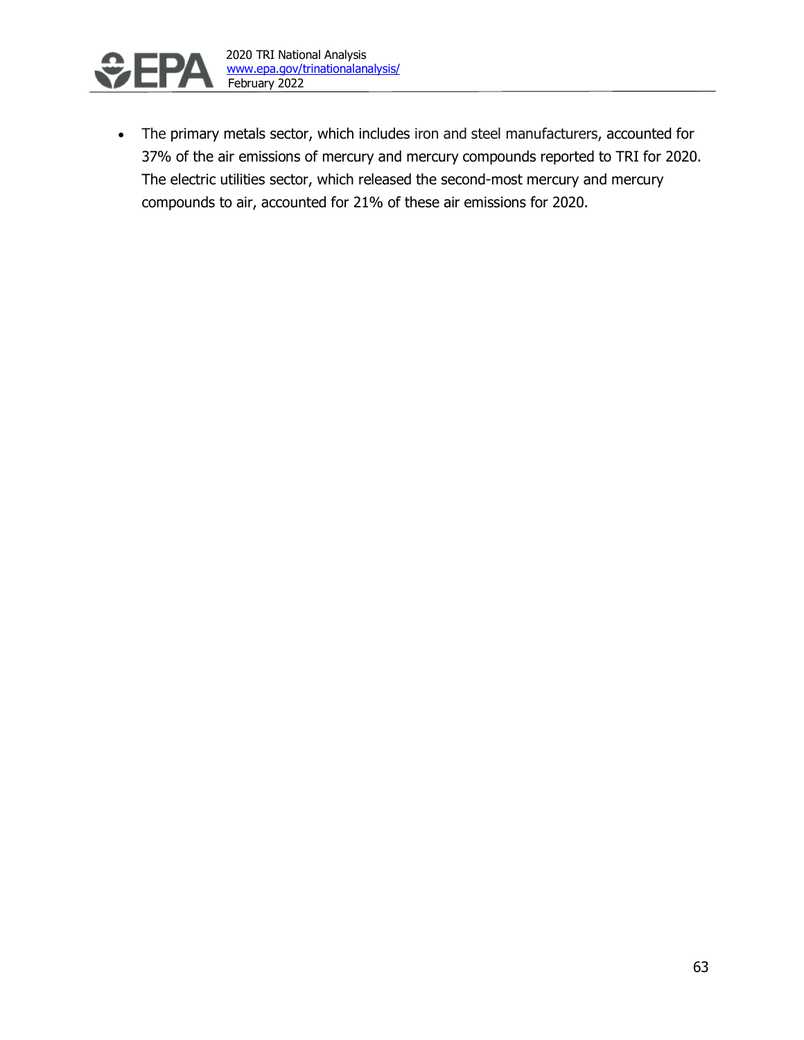

• The primary metals sector, which includes iron and steel manufacturers, accounted for 37% of the air emissions of mercury and mercury compounds reported to TRI for 2020. The electric utilities sector, which released the second-most mercury and mercury compounds to air, accounted for 21% of these air emissions for 2020.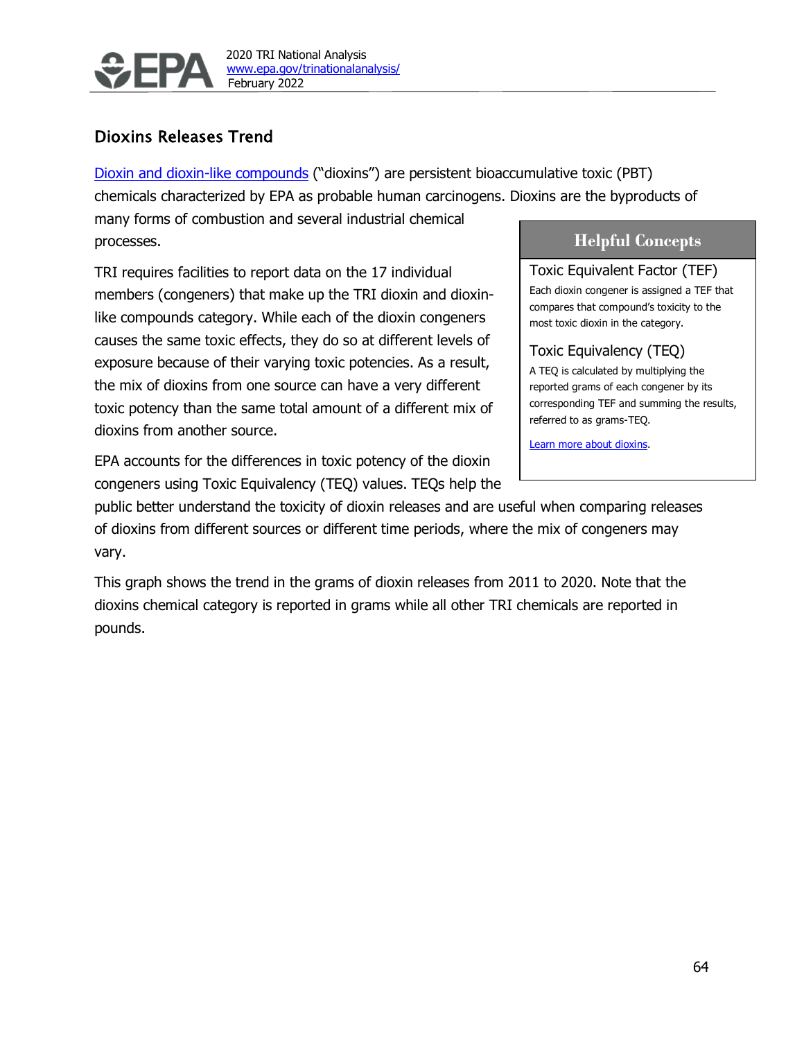

# Dioxins Releases Trend

[Dioxin and dioxin-like compounds](https://wwwn.cdc.gov/TSP/ToxFAQs/ToxFAQsDetails.aspx?faqid=363&toxid=63) ("dioxins") are persistent bioaccumulative toxic (PBT) chemicals characterized by EPA as probable human carcinogens. Dioxins are the byproducts of

many forms of combustion and several industrial chemical processes.

TRI requires facilities to report data on the 17 individual members (congeners) that make up the TRI dioxin and dioxinlike compounds category. While each of the dioxin congeners causes the same toxic effects, they do so at different levels of exposure because of their varying toxic potencies. As a result, the mix of dioxins from one source can have a very different toxic potency than the same total amount of a different mix of dioxins from another source.

EPA accounts for the differences in toxic potency of the dioxin congeners using Toxic Equivalency (TEQ) values. TEQs help the

## **Helpful Concepts**

Toxic Equivalent Factor (TEF) Each dioxin congener is assigned a TEF that compares that compound's toxicity to the most toxic dioxin in the category.

### Toxic Equivalency (TEQ)

A TEQ is calculated by multiplying the reported grams of each congener by its corresponding TEF and summing the results, referred to as grams-TEQ.

[Learn more about dioxins.](https://www.epa.gov/dioxin/learn-about-dioxin) 

public better understand the toxicity of dioxin releases and are useful when comparing releases of dioxins from different sources or different time periods, where the mix of congeners may vary.

This graph shows the trend in the grams of dioxin releases from 2011 to 2020. Note that the dioxins chemical category is reported in grams while all other TRI chemicals are reported in pounds.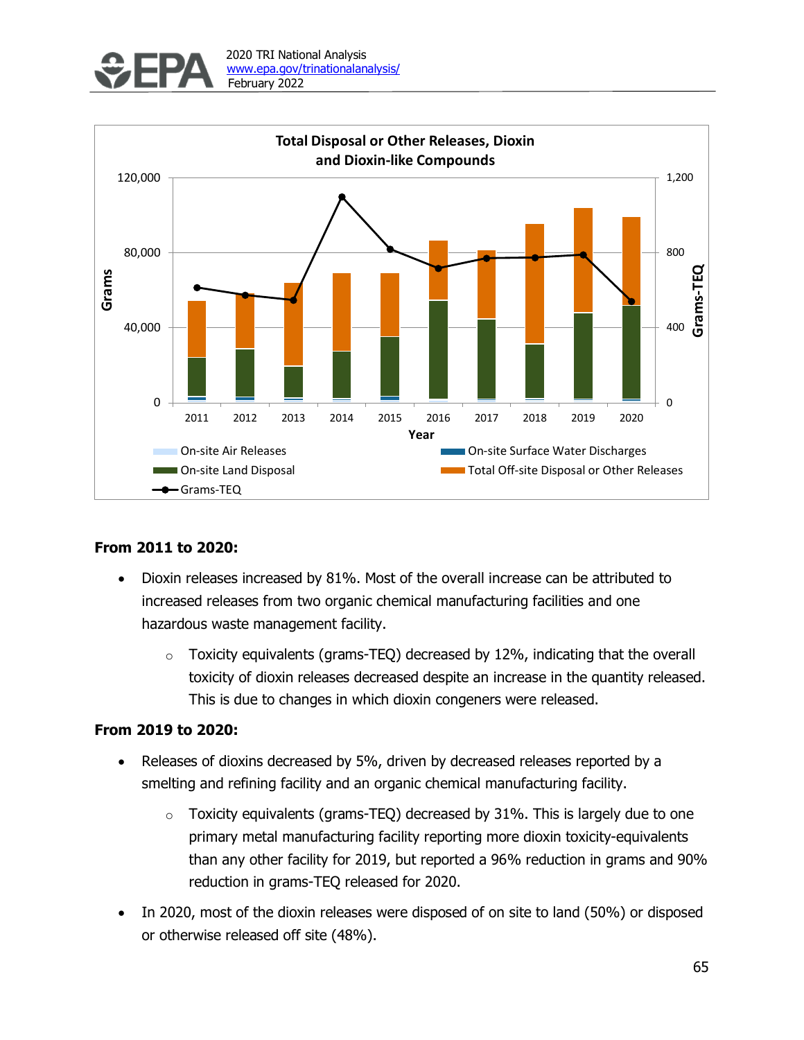



### **From 2011 to 2020:**

- Dioxin releases increased by 81%. Most of the overall increase can be attributed to increased releases from two organic chemical manufacturing facilities and one hazardous waste management facility.
	- $\circ$  Toxicity equivalents (grams-TEQ) decreased by 12%, indicating that the overall toxicity of dioxin releases decreased despite an increase in the quantity released. This is due to changes in which dioxin congeners were released.

### **From 2019 to 2020:**

- Releases of dioxins decreased by 5%, driven by decreased releases reported by a smelting and refining facility and an organic chemical manufacturing facility.
	- $\circ$  Toxicity equivalents (grams-TEQ) decreased by 31%. This is largely due to one primary metal manufacturing facility reporting more dioxin toxicity-equivalents than any other facility for 2019, but reported a 96% reduction in grams and 90% reduction in grams-TEQ released for 2020.
- In 2020, most of the dioxin releases were disposed of on site to land (50%) or disposed or otherwise released off site (48%).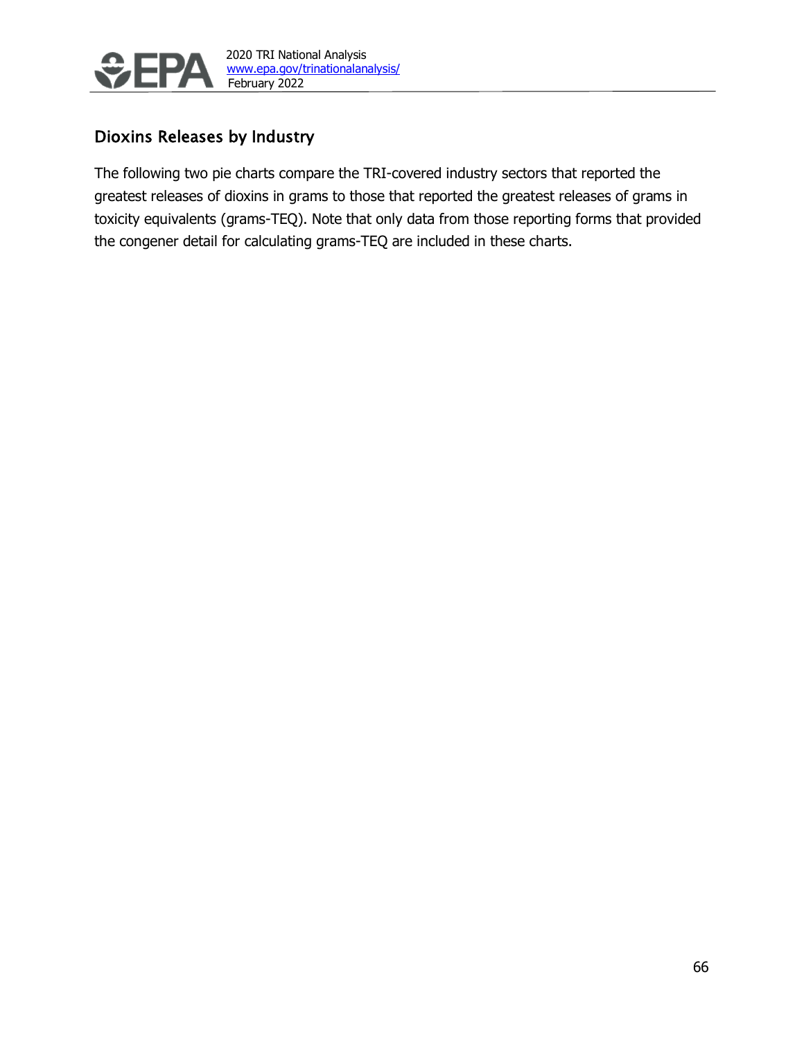

# Dioxins Releases by Industry

The following two pie charts compare the TRI-covered industry sectors that reported the greatest releases of dioxins in grams to those that reported the greatest releases of grams in toxicity equivalents (grams-TEQ). Note that only data from those reporting forms that provided the congener detail for calculating grams-TEQ are included in these charts.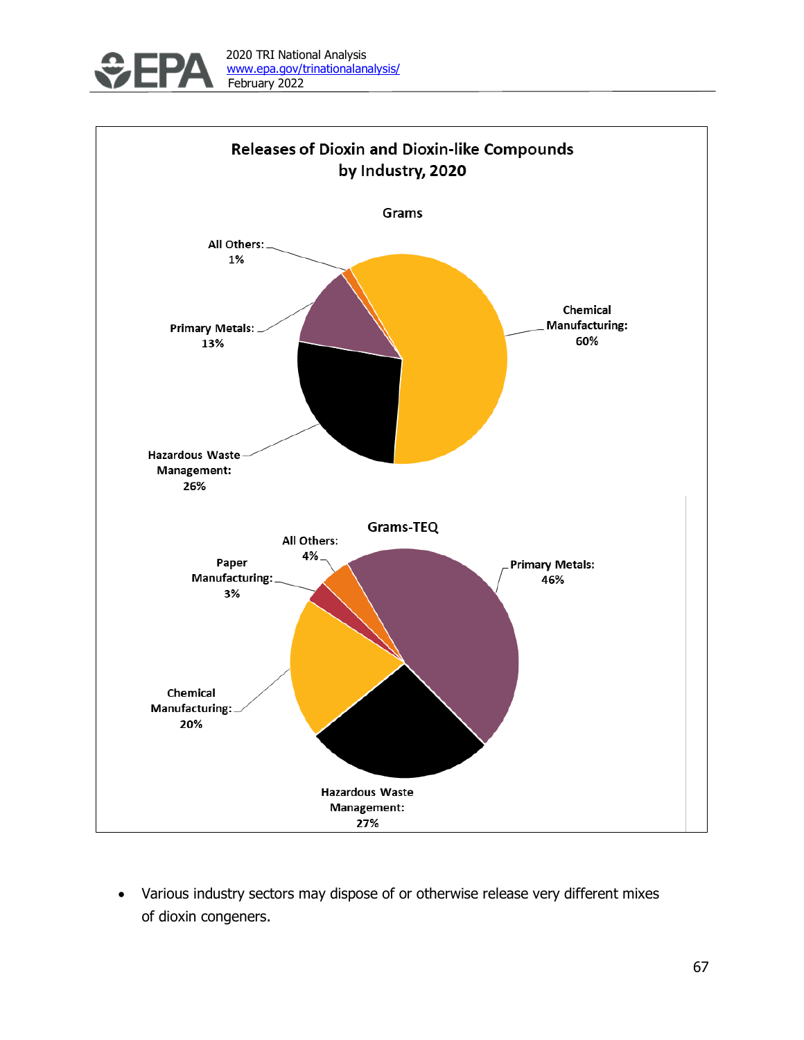



• Various industry sectors may dispose of or otherwise release very different mixes of dioxin congeners.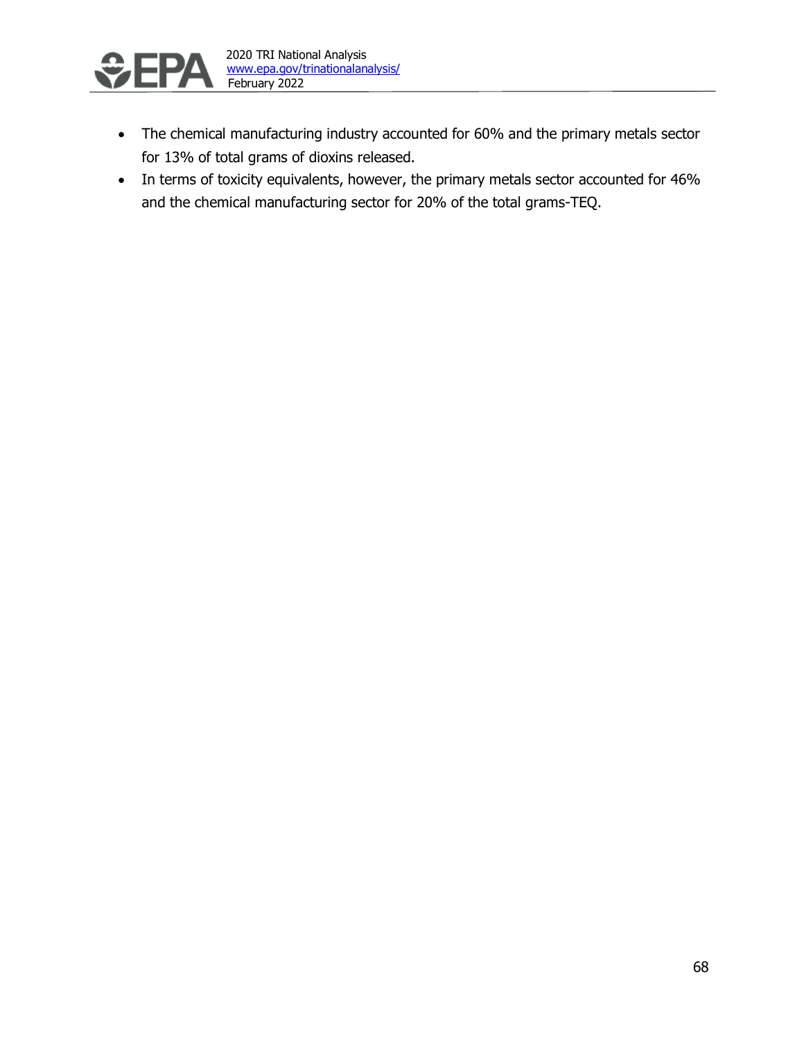

- The chemical manufacturing industry accounted for 60% and the primary metals sector for 13% of total grams of dioxins released.
- In terms of toxicity equivalents, however, the primary metals sector accounted for 46% and the chemical manufacturing sector for 20% of the total grams-TEQ.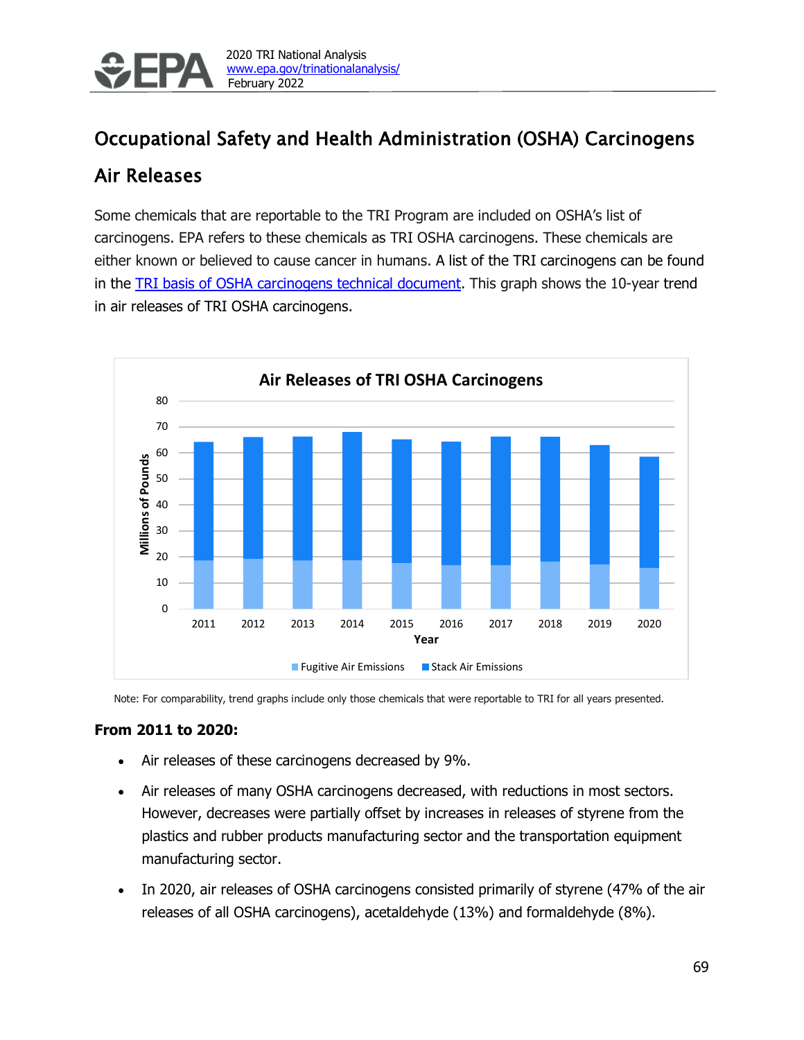

# <span id="page-38-0"></span>Occupational Safety and Health Administration (OSHA) Carcinogens

# Air Releases

Some chemicals that are reportable to the TRI Program are included on OSHA's list of carcinogens. EPA refers to these chemicals as TRI OSHA carcinogens. These chemicals are either known or believed to cause cancer in humans. A list of the TRI carcinogens can be found in the [TRI basis of OSHA carcinogens technical document.](https://www.epa.gov/sites/production/files/2019-11/documents/osha_carcinogen_basis_november_2019_update.pdf) This graph shows the 10-year trend in air releases of TRI OSHA carcinogens.



Note: For comparability, trend graphs include only those chemicals that were reportable to TRI for all years presented.

### **From 2011 to 2020:**

- Air releases of these carcinogens decreased by 9%.
- Air releases of many OSHA carcinogens decreased, with reductions in most sectors. However, decreases were partially offset by increases in releases of styrene from the plastics and rubber products manufacturing sector and the transportation equipment manufacturing sector.
- In 2020, air releases of OSHA carcinogens consisted primarily of styrene (47% of the air releases of all OSHA carcinogens), acetaldehyde (13%) and formaldehyde (8%).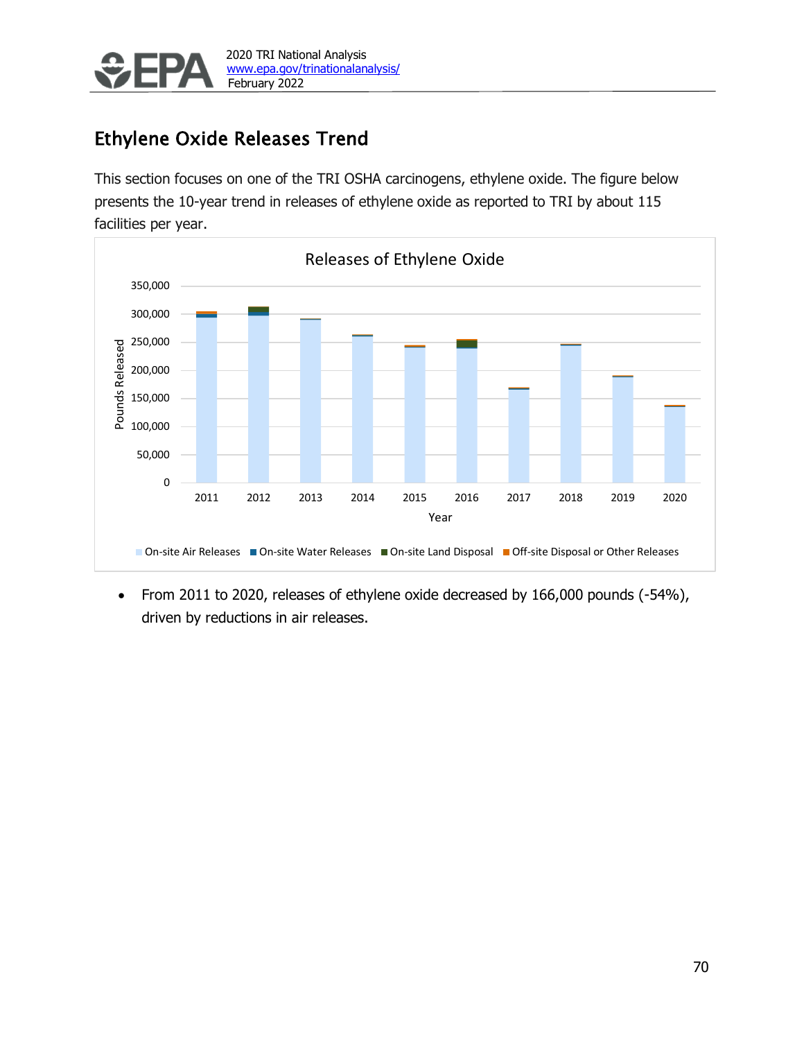

# Ethylene Oxide Releases Trend

This section focuses on one of the TRI OSHA carcinogens, ethylene oxide. The figure below presents the 10-year trend in releases of ethylene oxide as reported to TRI by about 115 facilities per year.



• From 2011 to 2020, releases of ethylene oxide decreased by 166,000 pounds (-54%), driven by reductions in air releases.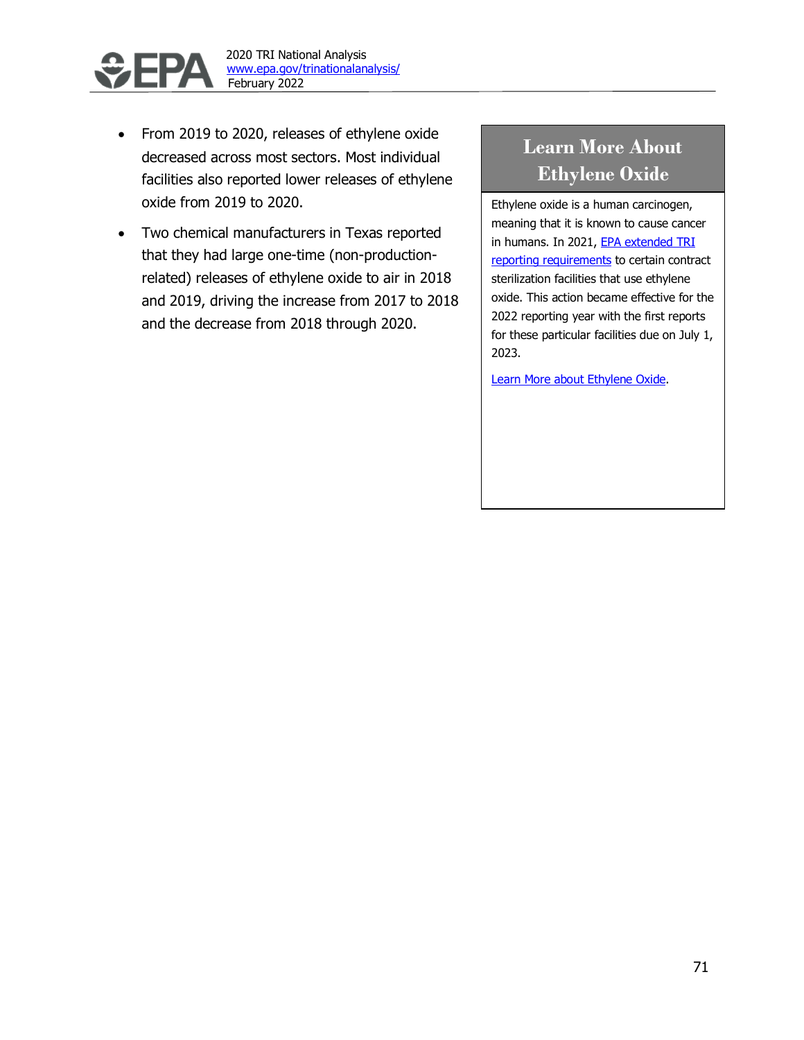

- From 2019 to 2020, releases of ethylene oxide decreased across most sectors. Most individual facilities also reported lower releases of ethylene oxide from 2019 to 2020.
- Two chemical manufacturers in Texas reported that they had large one-time (non-productionrelated) releases of ethylene oxide to air in 2018 and 2019, driving the increase from 2017 to 2018 and the decrease from 2018 through 2020.

# **Learn More About Ethylene Oxide**

Ethylene oxide is a human carcinogen, meaning that it is known to cause cancer in humans. In 2021, EPA extended TRI [reporting requirements](https://www.epa.gov/toxics-release-inventory-tri-program/epas-discretionary-authority-extend-tri-reporting-requirements) to certain contract sterilization facilities that use ethylene oxide. This action became effective for the 2022 reporting year with the first reports for these particular facilities due on July 1, 2023.

[Learn More about Ethylene Oxide.](https://www.epa.gov/hazardous-air-pollutants-ethylene-oxide)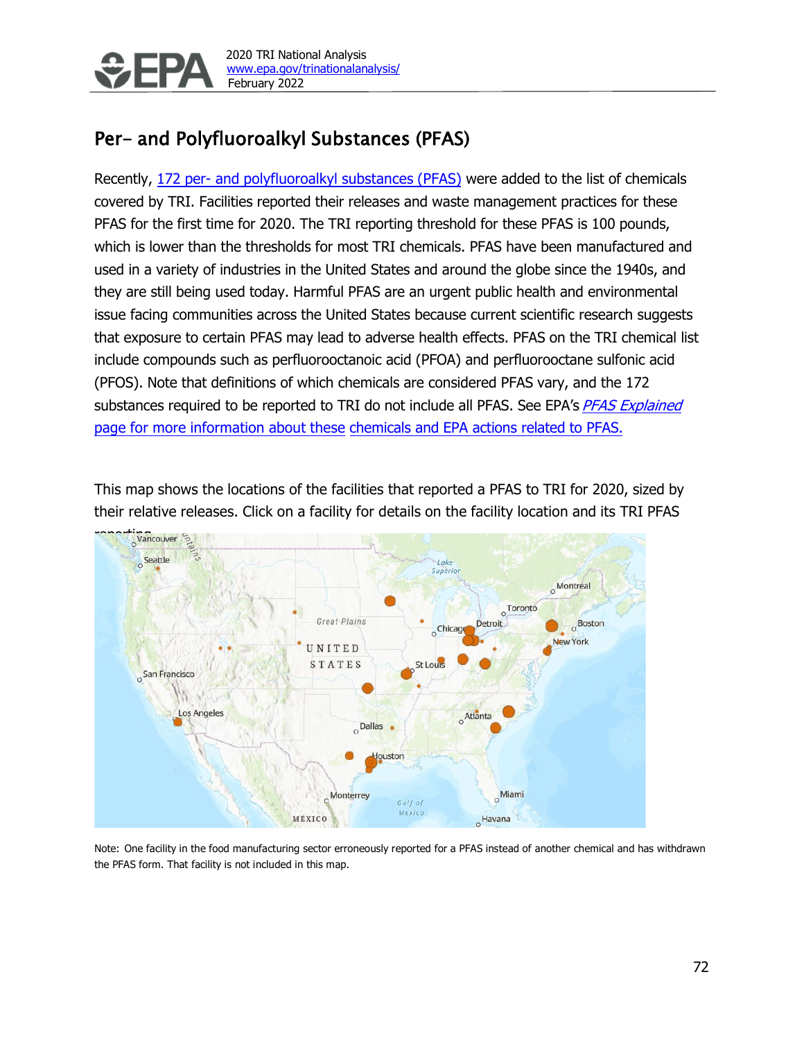

# Per- and Polyfluoroalkyl Substances (PFAS)

Recently, 172 per- and [polyfluoroalkyl](https://www.epa.gov/toxics-release-inventory-tri-program/addition-certain-pfas-tri-national-defense-authorization-act) substances (PFAS) were added to the list of chemicals covered by TRI. Facilities reported their releases and waste management practices for these PFAS for the first time for 2020. The TRI reporting threshold for these PFAS is 100 pounds, which is lower than the thresholds for most TRI chemicals. PFAS have been manufactured and used in a variety of industries in the United States and around the globe since the 1940s, and they are still being used today. Harmful PFAS are an urgent public health and environmental issue facing communities across the United States because current scientific research suggests that exposure to certain PFAS may lead to adverse health effects. PFAS on the TRI chemical list include compounds such as perfluorooctanoic acid (PFOA) and perfluorooctane sulfonic acid (PFOS). Note that definitions of which chemicals are considered PFAS vary, and the 172 substances required to be reported to TRI do not include all PFAS. See EPA's [PFAS Explained](https://www.epa.gov/pfas/our-current-understanding-human-health-and-environmental-risks-pfas) page for more information about these chemicals and EPA actions related to PFAS.

This map shows the locations of the facilities that reported a PFAS to TRI for 2020, sized by their relative releases. Click on a facility for details on the facility location and its TRI PFAS



Note: One facility in the food manufacturing sector erroneously reported for a PFAS instead of another chemical and has withdrawn the PFAS form. That facility is not included in this map.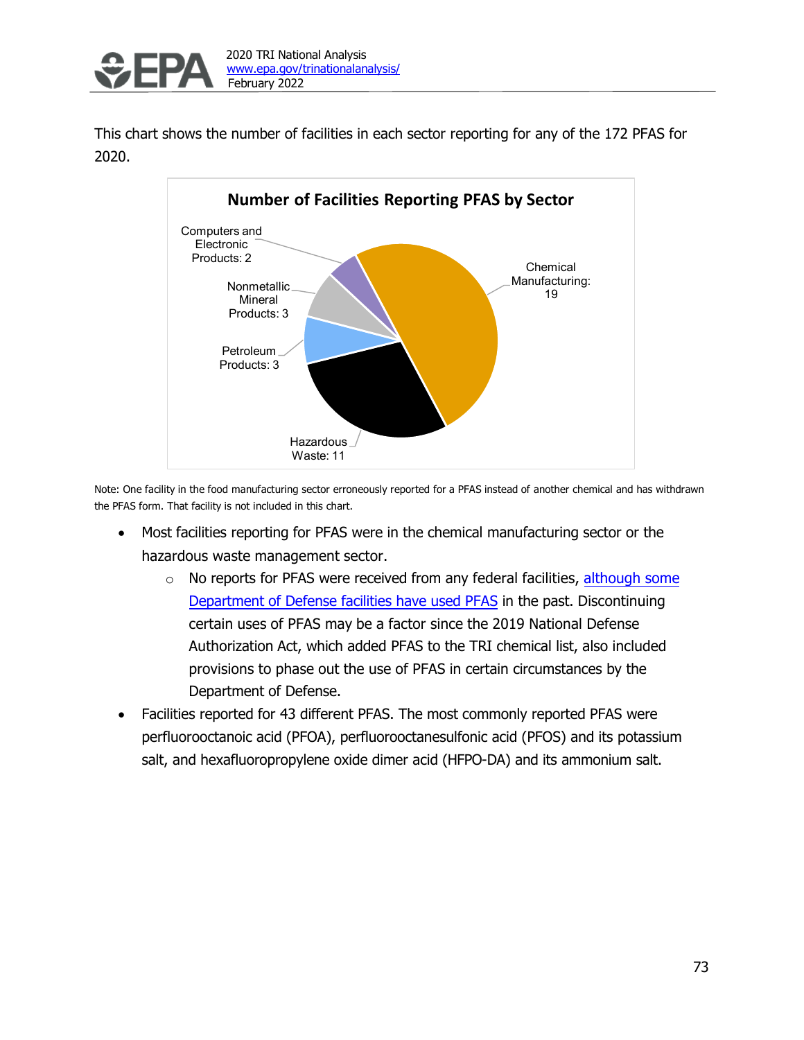

This chart shows the number of facilities in each sector reporting for any of the 172 PFAS for 2020.



Note: One facility in the food manufacturing sector erroneously reported for a PFAS instead of another chemical and has withdrawn the PFAS form. That facility is not included in this chart.

- Most facilities reporting for PFAS were in the chemical manufacturing sector or the hazardous waste management sector.
	- $\circ$  No reports for PFAS were received from any federal facilities, [although](https://denix.osd.mil/dod-pfas/) some [Department](https://denix.osd.mil/dod-pfas/) of Defense facilities have used PFAS in the past. Discontinuing certain uses of PFAS may be a factor since the 2019 National Defense Authorization Act, which added PFAS to the TRI chemical list, also included provisions to phase out the use of PFAS in certain circumstances by the Department of Defense.
- Facilities reported for 43 different PFAS. The most commonly reported PFAS were perfluorooctanoic acid (PFOA), perfluorooctanesulfonic acid (PFOS) and its potassium salt, and hexafluoropropylene oxide dimer acid (HFPO-DA) and its ammonium salt.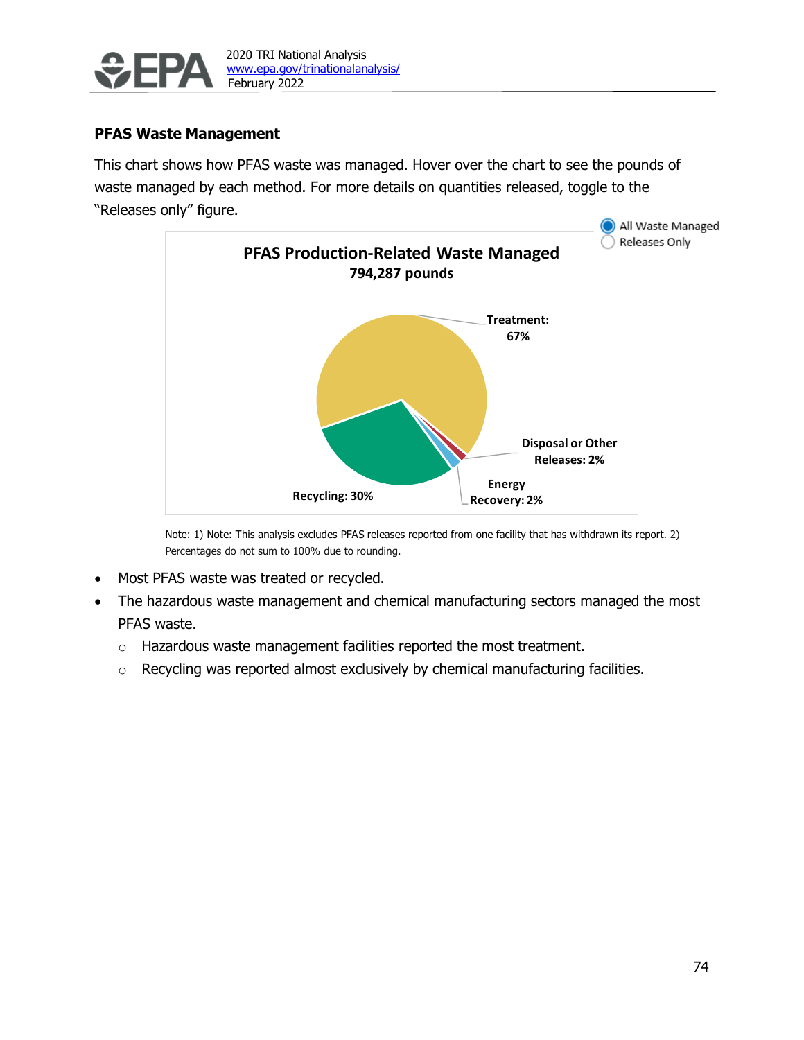

### **PFAS Waste Management**

This chart shows how PFAS waste was managed. Hover over the chart to see the pounds of waste managed by each method. For more details on quantities released, toggle to the "Releases only" figure.



Note: 1) Note: This analysis excludes PFAS releases reported from one facility that has withdrawn its report. 2) Percentages do not sum to 100% due to rounding.

- Most PFAS waste was treated or recycled.
- The hazardous waste management and chemical manufacturing sectors managed the most PFAS waste.
	- o Hazardous waste management facilities reported the most treatment.
	- o Recycling was reported almost exclusively by chemical manufacturing facilities.